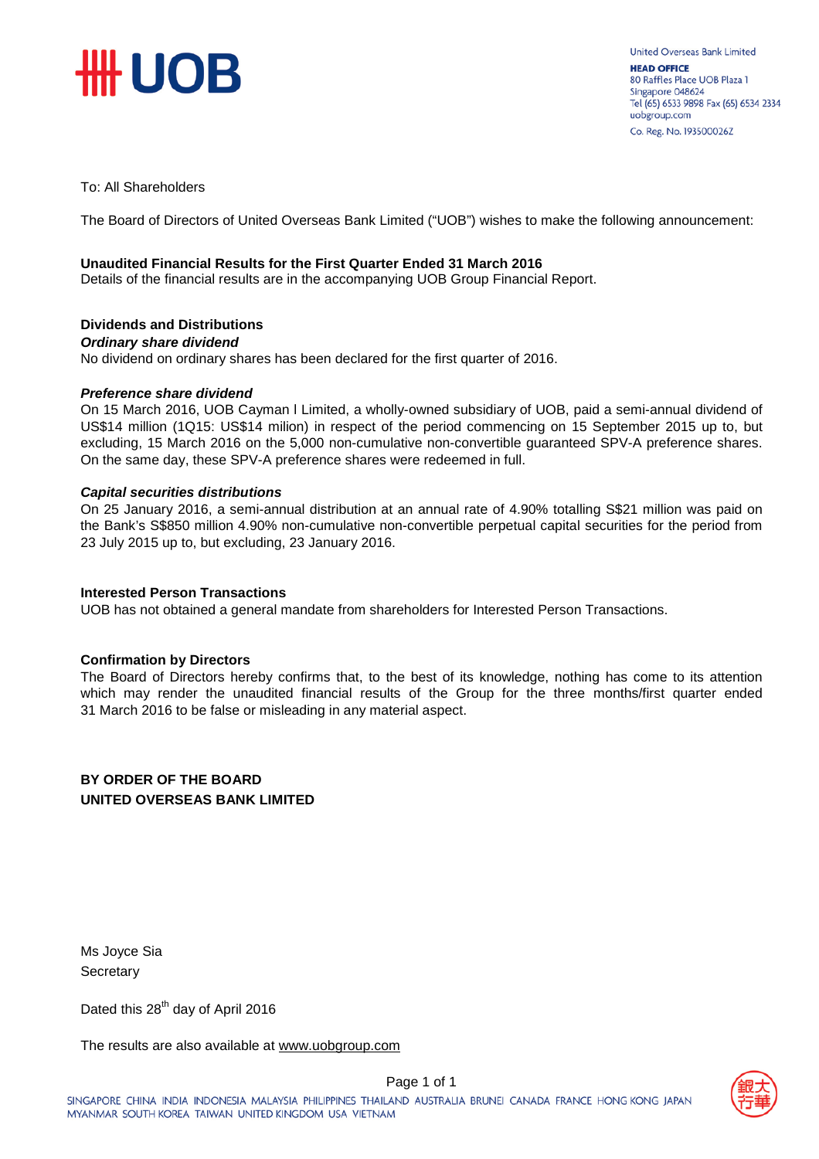

To: All Shareholders

The Board of Directors of United Overseas Bank Limited ("UOB") wishes to make the following announcement:

#### **Unaudited Financial Results for the First Quarter Ended 31 March 2016**

Details of the financial results are in the accompanying UOB Group Financial Report.

#### **Dividends and Distributions**

#### *Ordinary share dividend*

No dividend on ordinary shares has been declared for the first quarter of 2016.

#### *Preference share dividend*

On 15 March 2016, UOB Cayman l Limited, a wholly-owned subsidiary of UOB, paid a semi-annual dividend of US\$14 million (1Q15: US\$14 milion) in respect of the period commencing on 15 September 2015 up to, but excluding, 15 March 2016 on the 5,000 non-cumulative non-convertible guaranteed SPV-A preference shares. On the same day, these SPV-A preference shares were redeemed in full.

#### *Capital securities distributions*

On 25 January 2016, a semi-annual distribution at an annual rate of 4.90% totalling S\$21 million was paid on the Bank's S\$850 million 4.90% non-cumulative non-convertible perpetual capital securities for the period from 23 July 2015 up to, but excluding, 23 January 2016.

#### **Interested Person Transactions**

UOB has not obtained a general mandate from shareholders for Interested Person Transactions.

#### **Confirmation by Directors**

The Board of Directors hereby confirms that, to the best of its knowledge, nothing has come to its attention which may render the unaudited financial results of the Group for the three months/first quarter ended 31 March 2016 to be false or misleading in any material aspect.

#### **BY ORDER OF THE BOARD UNITED OVERSEAS BANK LIMITED**

Ms Joyce Sia **Secretary** 

Dated this 28<sup>th</sup> day of April 2016

The results are also available at www.uob[group.com](http://www.uobgroup.com/)

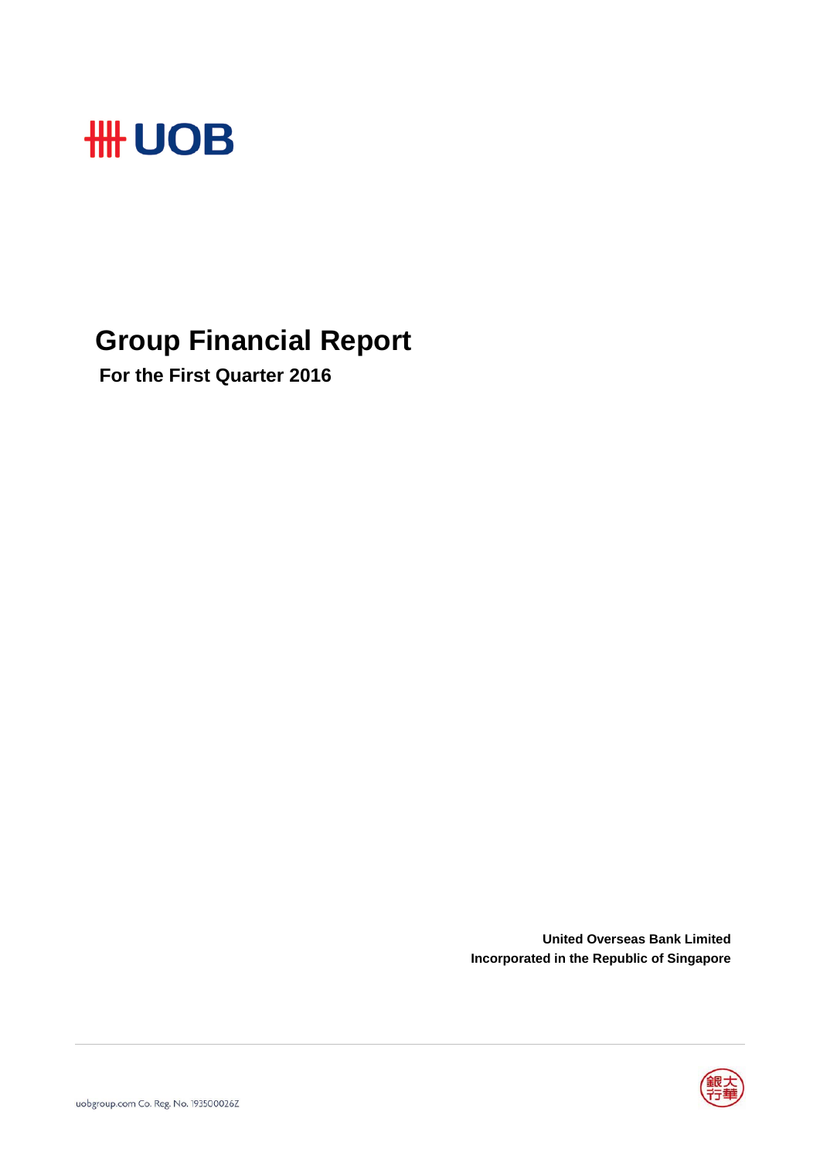

## **Group Financial Report**

 **For the First Quarter 2016**

**United Overseas Bank Limited Incorporated in the Republic of Singapore**

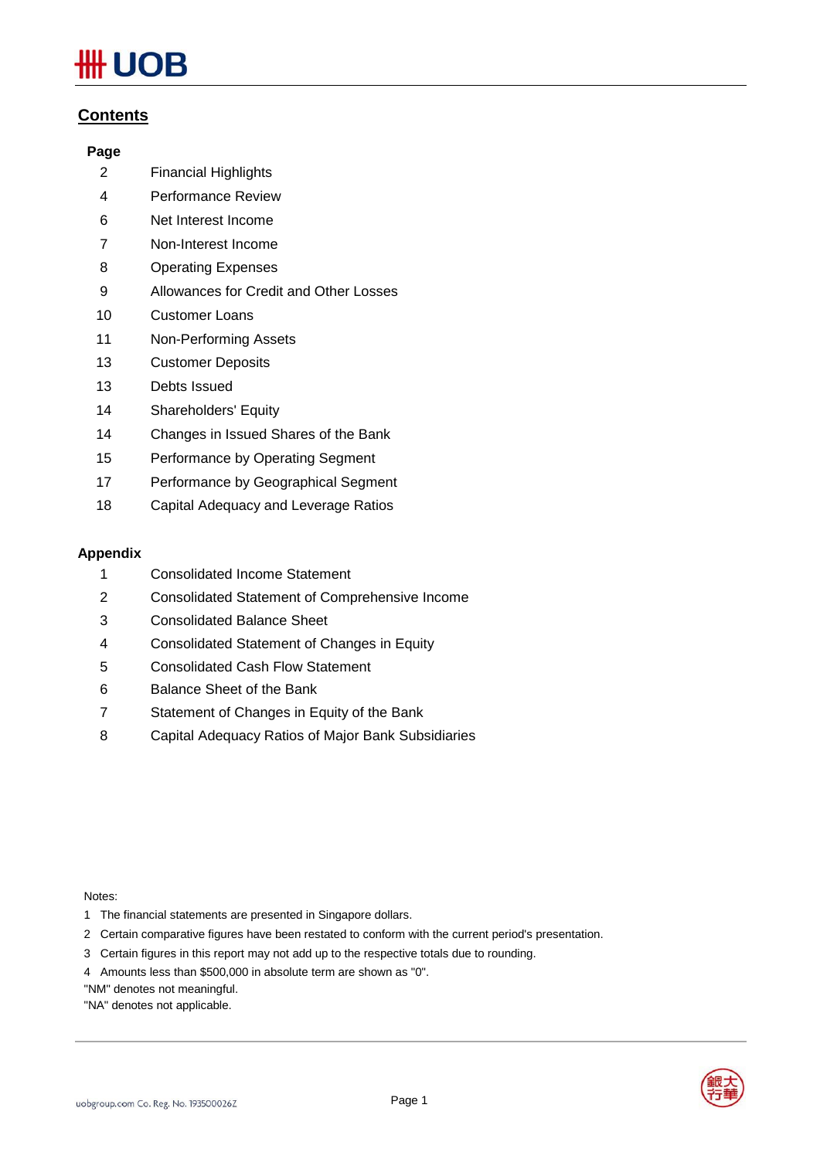# **JOB**

#### **Contents**

#### **Page**

- Financial Highlights
- Performance Review
- Net Interest Income
- Non-Interest Income
- Operating Expenses
- Allowances for Credit and Other Losses
- Customer Loans
- Non-Performing Assets
- Customer Deposits
- Debts Issued
- Shareholders' Equity
- Changes in Issued Shares of the Bank
- Performance by Operating Segment
- Performance by Geographical Segment
- Capital Adequacy and Leverage Ratios

#### **Appendix**

- Consolidated Income Statement
- Consolidated Statement of Comprehensive Income
- Consolidated Balance Sheet
- Consolidated Statement of Changes in Equity
- Consolidated Cash Flow Statement
- Balance Sheet of the Bank
- Statement of Changes in Equity of the Bank
- Capital Adequacy Ratios of Major Bank Subsidiaries

Notes:

- 1 The financial statements are presented in Singapore dollars.
- 2 Certain comparative figures have been restated to conform with the current period's presentation.
- 3 Certain figures in this report may not add up to the respective totals due to rounding.
- 4 Amounts less than \$500,000 in absolute term are shown as "0".

"NM" denotes not meaningful.

"NA" denotes not applicable.

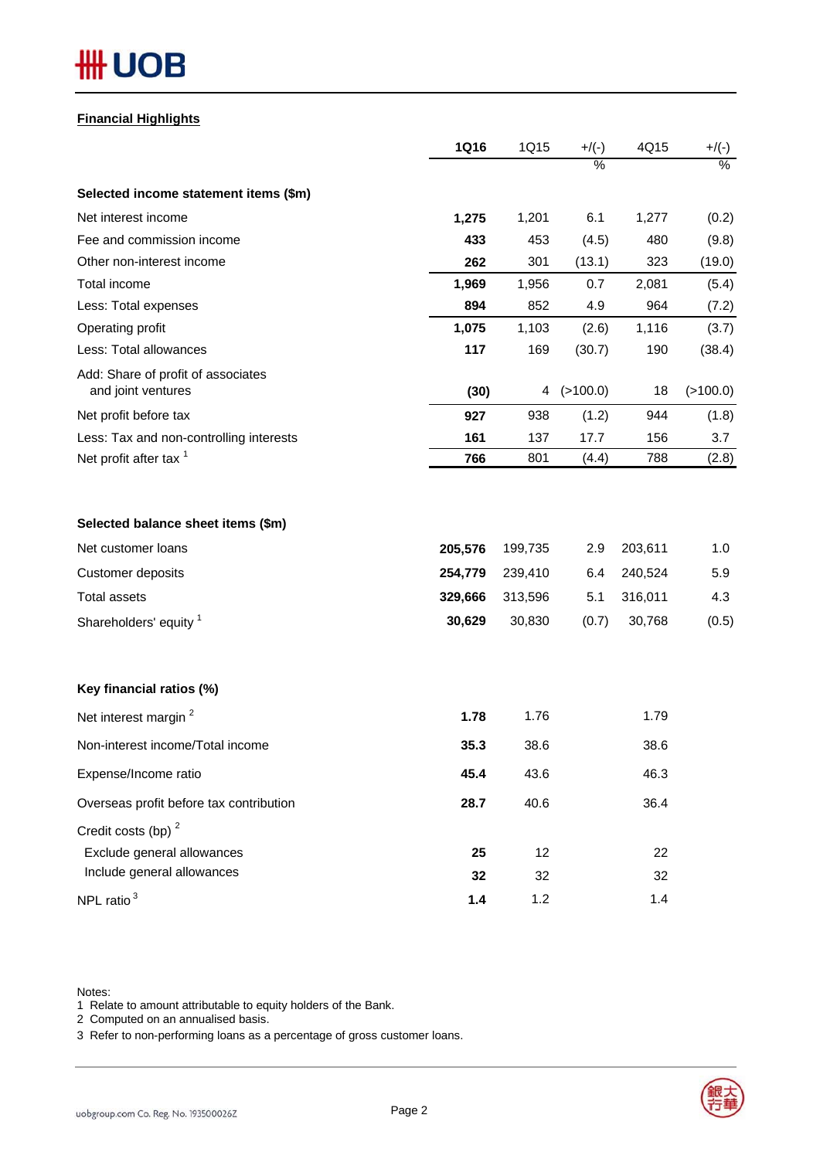# **HH UOB**

#### **Financial Highlights**

|                                                                                                                                | <b>1Q16</b>                             | 1Q15                                    | $+/(-)$                    | 4Q15                                    | $+/(-)$                    |
|--------------------------------------------------------------------------------------------------------------------------------|-----------------------------------------|-----------------------------------------|----------------------------|-----------------------------------------|----------------------------|
|                                                                                                                                |                                         |                                         | $\frac{0}{2}$              |                                         | $\frac{0}{6}$              |
| Selected income statement items (\$m)                                                                                          |                                         |                                         |                            |                                         |                            |
| Net interest income                                                                                                            | 1,275                                   | 1,201                                   | 6.1                        | 1,277                                   | (0.2)                      |
| Fee and commission income                                                                                                      | 433                                     | 453                                     | (4.5)                      | 480                                     | (9.8)                      |
| Other non-interest income                                                                                                      | 262                                     | 301                                     | (13.1)                     | 323                                     | (19.0)                     |
| Total income                                                                                                                   | 1,969                                   | 1,956                                   | 0.7                        | 2,081                                   | (5.4)                      |
| Less: Total expenses                                                                                                           | 894                                     | 852                                     | 4.9                        | 964                                     | (7.2)                      |
| Operating profit                                                                                                               | 1,075                                   | 1,103                                   | (2.6)                      | 1,116                                   | (3.7)                      |
| Less: Total allowances                                                                                                         | 117                                     | 169                                     | (30.7)                     | 190                                     | (38.4)                     |
| Add: Share of profit of associates<br>and joint ventures                                                                       | (30)                                    | 4                                       | (>100.0)                   | 18                                      | (>100.0)                   |
| Net profit before tax                                                                                                          | 927                                     | 938                                     | (1.2)                      | 944                                     | (1.8)                      |
| Less: Tax and non-controlling interests                                                                                        | 161                                     | 137                                     | 17.7                       | 156                                     | 3.7                        |
| Net profit after tax <sup>1</sup>                                                                                              | 766                                     | 801                                     | (4.4)                      | 788                                     | (2.8)                      |
| Selected balance sheet items (\$m)<br>Net customer loans<br>Customer deposits<br><b>Total assets</b><br>Shareholders' equity 1 | 205,576<br>254,779<br>329,666<br>30,629 | 199,735<br>239,410<br>313,596<br>30,830 | 2.9<br>6.4<br>5.1<br>(0.7) | 203,611<br>240,524<br>316,011<br>30,768 | 1.0<br>5.9<br>4.3<br>(0.5) |
| Key financial ratios (%)                                                                                                       |                                         |                                         |                            |                                         |                            |
| Net interest margin <sup>2</sup>                                                                                               | 1.78                                    | 1.76                                    |                            | 1.79                                    |                            |
| Non-interest income/Total income                                                                                               | 35.3                                    | 38.6                                    |                            | 38.6                                    |                            |
| Expense/Income ratio                                                                                                           | 45.4                                    | 43.6                                    |                            | 46.3                                    |                            |
| Overseas profit before tax contribution                                                                                        | 28.7                                    | 40.6                                    |                            | 36.4                                    |                            |
| Credit costs (bp) <sup>2</sup><br>Exclude general allowances                                                                   | 25                                      | 12                                      |                            | 22                                      |                            |
| Include general allowances                                                                                                     | 32                                      | 32                                      |                            | 32                                      |                            |
| NPL ratio <sup>3</sup>                                                                                                         | $1.4$                                   | 1.2                                     |                            | 1.4                                     |                            |

Notes:

1 Relate to amount attributable to equity holders of the Bank.

2 Computed on an annualised basis.

3 Refer to non-performing loans as a percentage of gross customer loans.

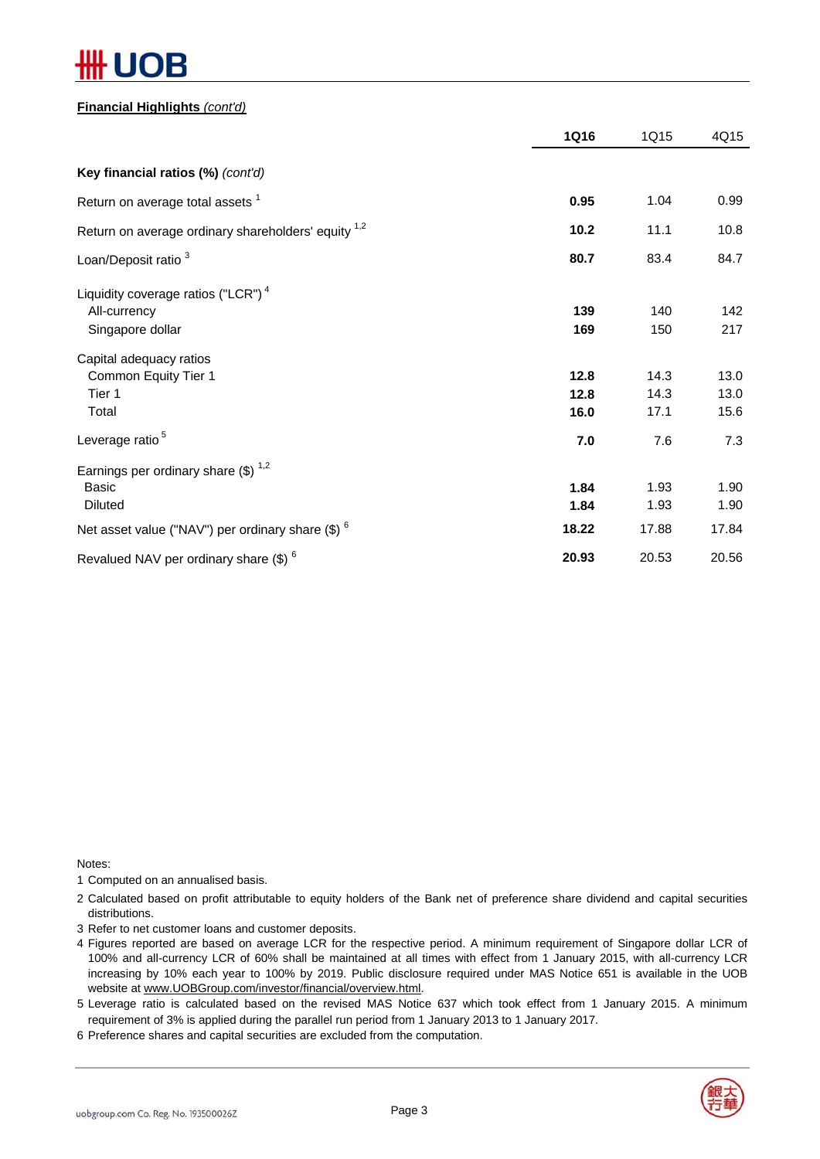# )R

#### **Financial Highlights** *(cont'd)*

|                                                              | <b>1Q16</b> | 1Q15       | 4Q15       |
|--------------------------------------------------------------|-------------|------------|------------|
| Key financial ratios (%) (cont'd)                            |             |            |            |
| Return on average total assets <sup>1</sup>                  | 0.95        | 1.04       | 0.99       |
| Return on average ordinary shareholders' equity 1,2          | 10.2        | 11.1       | 10.8       |
| Loan/Deposit ratio <sup>3</sup>                              | 80.7        | 83.4       | 84.7       |
| Liquidity coverage ratios ("LCR") $4$                        |             |            |            |
| All-currency<br>Singapore dollar                             | 139<br>169  | 140<br>150 | 142<br>217 |
| Capital adequacy ratios                                      |             |            |            |
| Common Equity Tier 1                                         | 12.8        | 14.3       | 13.0       |
| Tier 1                                                       | 12.8        | 14.3       | 13.0       |
| Total                                                        | 16.0        | 17.1       | 15.6       |
| Leverage ratio <sup>5</sup>                                  | 7.0         | 7.6        | 7.3        |
| Earnings per ordinary share $(\$)$ <sup>1,2</sup>            |             |            |            |
| <b>Basic</b>                                                 | 1.84        | 1.93       | 1.90       |
| <b>Diluted</b>                                               | 1.84        | 1.93       | 1.90       |
| Net asset value ("NAV") per ordinary share (\$) <sup>6</sup> | 18.22       | 17.88      | 17.84      |
| Revalued NAV per ordinary share (\$) <sup>6</sup>            | 20.93       | 20.53      | 20.56      |

Notes:

1 Computed on an annualised basis.

2 Calculated based on profit attributable to equity holders of the Bank net of preference share dividend and capital securities distributions.

3 Refer to net customer loans and customer deposits.

4 Figures reported are based on average LCR for the respective period. A minimum requirement of Singapore dollar LCR of 100% and all-currency LCR of 60% shall be maintained at all times with effect from 1 January 2015, with all-currency LCR increasing by 10% each year to 100% by 2019. Public disclosure required under MAS Notice 651 is available in the UOB website at www.UOBGroup.com/investor/financial/overview.html.

5 Leverage ratio is calculated based on the revised MAS Notice 637 which took effect from 1 January 2015. A minimum requirement of 3% is applied during the parallel run period from 1 January 2013 to 1 January 2017.

6 Preference shares and capital securities are excluded from the computation.

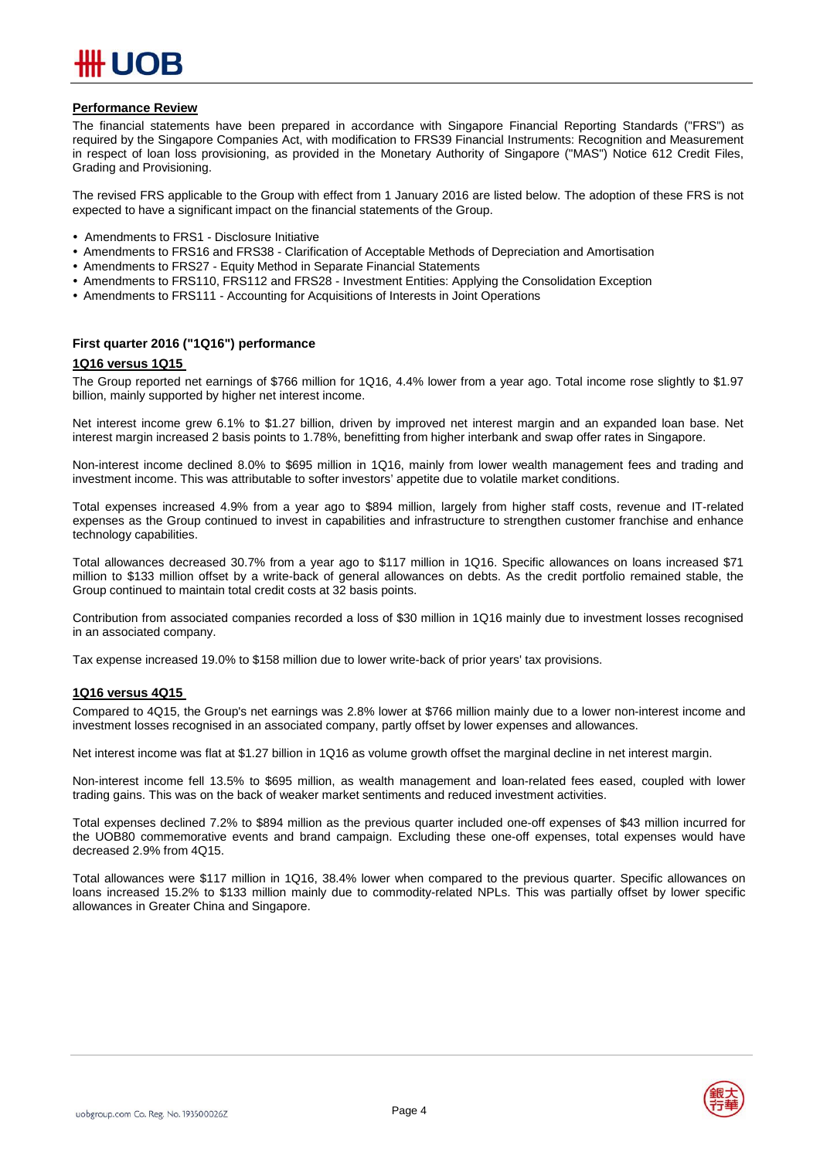

#### **Performance Review**

The financial statements have been prepared in accordance with Singapore Financial Reporting Standards ("FRS") as required by the Singapore Companies Act, with modification to FRS39 Financial Instruments: Recognition and Measurement in respect of loan loss provisioning, as provided in the Monetary Authority of Singapore ("MAS") Notice 612 Credit Files, Grading and Provisioning.

The revised FRS applicable to the Group with effect from 1 January 2016 are listed below. The adoption of these FRS is not expected to have a significant impact on the financial statements of the Group.

- Amendments to FRS1 Disclosure Initiative
- Amendments to FRS16 and FRS38 Clarification of Acceptable Methods of Depreciation and Amortisation
- Amendments to FRS27 Equity Method in Separate Financial Statements
- Amendments to FRS110, FRS112 and FRS28 Investment Entities: Applying the Consolidation Exception
- Amendments to FRS111 Accounting for Acquisitions of Interests in Joint Operations

#### **First quarter 2016 ("1Q16") performance**

#### **1Q16 versus 1Q15**

The Group reported net earnings of \$766 million for 1Q16, 4.4% lower from a year ago. Total income rose slightly to \$1.97 billion, mainly supported by higher net interest income.

Net interest income grew 6.1% to \$1.27 billion, driven by improved net interest margin and an expanded loan base. Net interest margin increased 2 basis points to 1.78%, benefitting from higher interbank and swap offer rates in Singapore.

Non-interest income declined 8.0% to \$695 million in 1Q16, mainly from lower wealth management fees and trading and investment income. This was attributable to softer investors' appetite due to volatile market conditions.

Total expenses increased 4.9% from a year ago to \$894 million, largely from higher staff costs, revenue and IT-related expenses as the Group continued to invest in capabilities and infrastructure to strengthen customer franchise and enhance technology capabilities.

Total allowances decreased 30.7% from a year ago to \$117 million in 1Q16. Specific allowances on loans increased \$71 million to \$133 million offset by a write-back of general allowances on debts. As the credit portfolio remained stable, the Group continued to maintain total credit costs at 32 basis points.

Contribution from associated companies recorded a loss of \$30 million in 1Q16 mainly due to investment losses recognised in an associated company.

Tax expense increased 19.0% to \$158 million due to lower write-back of prior years' tax provisions.

#### **1Q16 versus 4Q15**

Compared to 4Q15, the Group's net earnings was 2.8% lower at \$766 million mainly due to a lower non-interest income and investment losses recognised in an associated company, partly offset by lower expenses and allowances.

Net interest income was flat at \$1.27 billion in 1Q16 as volume growth offset the marginal decline in net interest margin.

Non-interest income fell 13.5% to \$695 million, as wealth management and loan-related fees eased, coupled with lower trading gains. This was on the back of weaker market sentiments and reduced investment activities.

Total expenses declined 7.2% to \$894 million as the previous quarter included one-off expenses of \$43 million incurred for the UOB80 commemorative events and brand campaign. Excluding these one-off expenses, total expenses would have decreased 2.9% from 4Q15.

Total allowances were \$117 million in 1Q16, 38.4% lower when compared to the previous quarter. Specific allowances on loans increased 15.2% to \$133 million mainly due to commodity-related NPLs. This was partially offset by lower specific allowances in Greater China and Singapore.

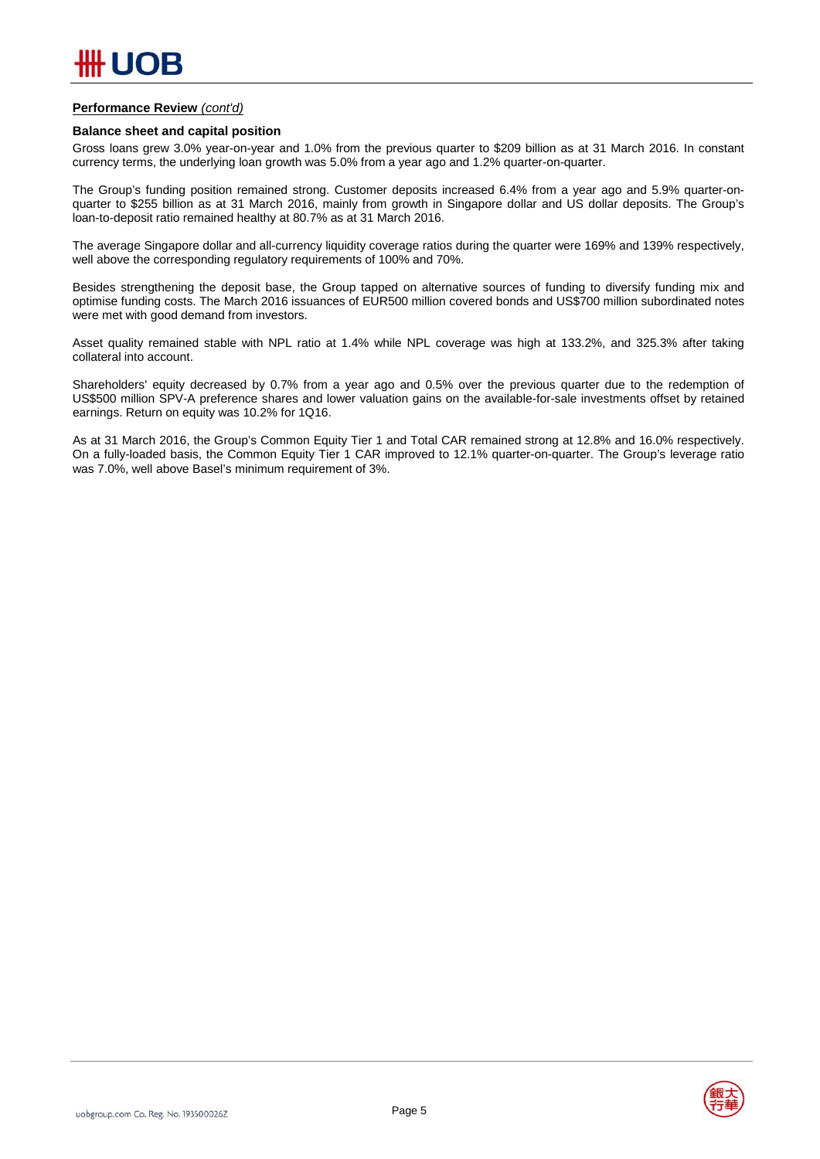#### **Performance Review** *(cont'd)*

#### **Balance sheet and capital position**

Gross loans grew 3.0% year-on-year and 1.0% from the previous quarter to \$209 billion as at 31 March 2016. In constant currency terms, the underlying loan growth was 5.0% from a year ago and 1.2% quarter-on-quarter.

The Group's funding position remained strong. Customer deposits increased 6.4% from a year ago and 5.9% quarter-onquarter to \$255 billion as at 31 March 2016, mainly from growth in Singapore dollar and US dollar deposits. The Group's loan-to-deposit ratio remained healthy at 80.7% as at 31 March 2016.

The average Singapore dollar and all-currency liquidity coverage ratios during the quarter were 169% and 139% respectively, well above the corresponding regulatory requirements of 100% and 70%.

Besides strengthening the deposit base, the Group tapped on alternative sources of funding to diversify funding mix and optimise funding costs. The March 2016 issuances of EUR500 million covered bonds and US\$700 million subordinated notes were met with good demand from investors.

Asset quality remained stable with NPL ratio at 1.4% while NPL coverage was high at 133.2%, and 325.3% after taking collateral into account.

Shareholders' equity decreased by 0.7% from a year ago and 0.5% over the previous quarter due to the redemption of US\$500 million SPV-A preference shares and lower valuation gains on the available-for-sale investments offset by retained earnings. Return on equity was 10.2% for 1Q16.

As at 31 March 2016, the Group's Common Equity Tier 1 and Total CAR remained strong at 12.8% and 16.0% respectively. On a fully-loaded basis, the Common Equity Tier 1 CAR improved to 12.1% quarter-on-quarter. The Group's leverage ratio was 7.0%, well above Basel's minimum requirement of 3%.

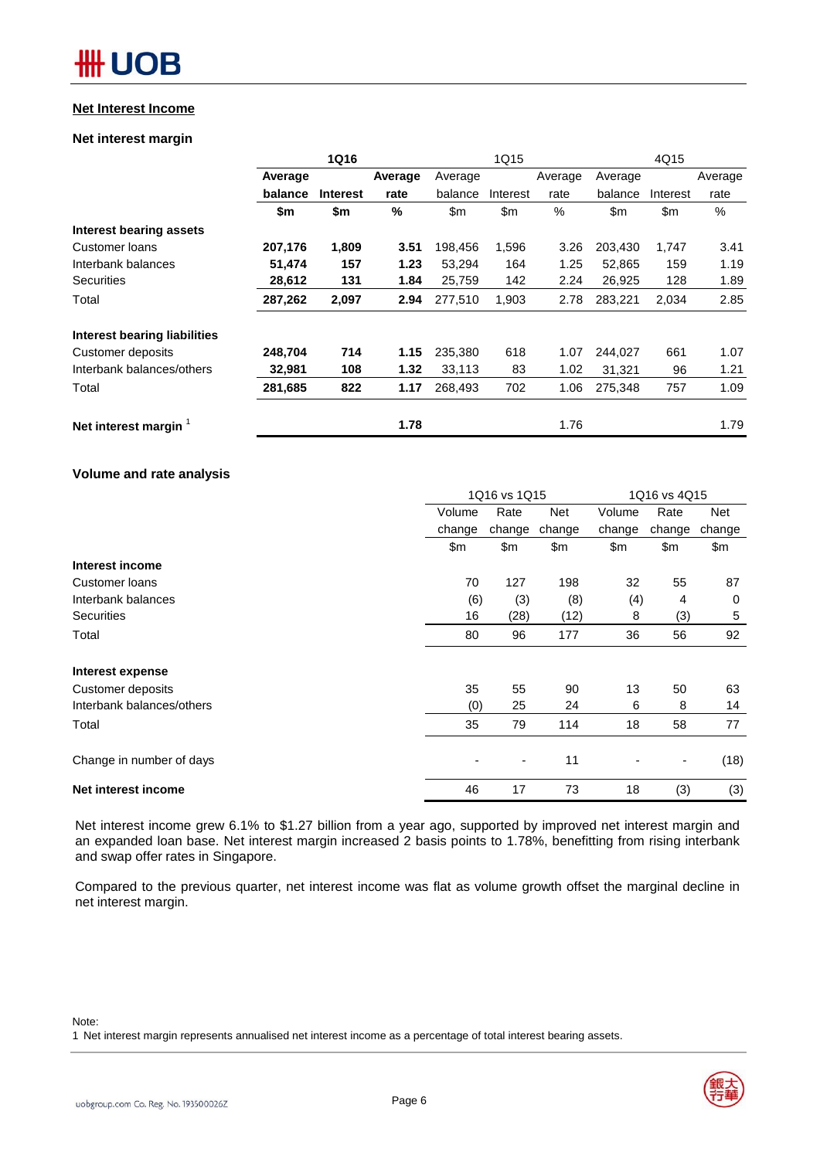#### **Net Interest Income**

#### **Net interest margin**

|                                     |         | <b>1Q16</b>     |         |               | 1Q15          |         |         | 4Q15          |         |
|-------------------------------------|---------|-----------------|---------|---------------|---------------|---------|---------|---------------|---------|
|                                     | Average |                 | Average | Average       |               | Average | Average |               | Average |
|                                     | balance | <b>Interest</b> | rate    | balance       | Interest      | rate    | balance | Interest      | rate    |
|                                     | \$m     | \$m             | %       | $\mathsf{Sm}$ | $\mathsf{Sm}$ | $\%$    | \$m     | $\mathsf{Sm}$ | %       |
| <b>Interest bearing assets</b>      |         |                 |         |               |               |         |         |               |         |
| Customer loans                      | 207,176 | 1,809           | 3.51    | 198,456       | 1,596         | 3.26    | 203,430 | 1,747         | 3.41    |
| Interbank balances                  | 51,474  | 157             | 1.23    | 53,294        | 164           | 1.25    | 52.865  | 159           | 1.19    |
| <b>Securities</b>                   | 28,612  | 131             | 1.84    | 25,759        | 142           | 2.24    | 26,925  | 128           | 1.89    |
| Total                               | 287,262 | 2,097           | 2.94    | 277,510       | 1,903         | 2.78    | 283,221 | 2,034         | 2.85    |
| <b>Interest bearing liabilities</b> |         |                 |         |               |               |         |         |               |         |
| Customer deposits                   | 248,704 | 714             | 1.15    | 235,380       | 618           | 1.07    | 244,027 | 661           | 1.07    |
| Interbank balances/others           | 32,981  | 108             | 1.32    | 33,113        | 83            | 1.02    | 31.321  | 96            | 1.21    |
| Total                               | 281,685 | 822             | 1.17    | 268,493       | 702           | 1.06    | 275,348 | 757           | 1.09    |
| Net interest margin                 |         |                 | 1.78    |               |               | 1.76    |         |               | 1.79    |

#### **Volume and rate analysis**

|                           | 1Q16 vs 1Q15          |        |                | 1Q16 vs 4Q15 |        |        |  |
|---------------------------|-----------------------|--------|----------------|--------------|--------|--------|--|
|                           | Rate<br>Volume<br>Net |        | Volume<br>Rate |              | Net    |        |  |
|                           | change                | change | change         | change       | change | change |  |
|                           | \$m                   | \$m    | \$m            | \$m          | \$m    | \$m    |  |
| Interest income           |                       |        |                |              |        |        |  |
| Customer loans            | 70                    | 127    | 198            | 32           | 55     | 87     |  |
| Interbank balances        | (6)                   | (3)    | (8)            | (4)          | 4      | 0      |  |
| <b>Securities</b>         | 16                    | (28)   | (12)           | 8            | (3)    | 5      |  |
| Total                     | 80                    | 96     | 177            | 36           | 56     | 92     |  |
| Interest expense          |                       |        |                |              |        |        |  |
| Customer deposits         | 35                    | 55     | 90             | 13           | 50     | 63     |  |
| Interbank balances/others | (0)                   | 25     | 24             | 6            | 8      | 14     |  |
| Total                     | 35                    | 79     | 114            | 18           | 58     | 77     |  |
| Change in number of days  |                       | ٠      | 11             | ٠            | ٠      | (18)   |  |
| Net interest income       | 46                    | 17     | 73             | 18           | (3)    | (3)    |  |

Net interest income grew 6.1% to \$1.27 billion from a year ago, supported by improved net interest margin and an expanded loan base. Net interest margin increased 2 basis points to 1.78%, benefitting from rising interbank and swap offer rates in Singapore.

Compared to the previous quarter, net interest income was flat as volume growth offset the marginal decline in net interest margin.

#### Note:

1 Net interest margin represents annualised net interest income as a percentage of total interest bearing assets.

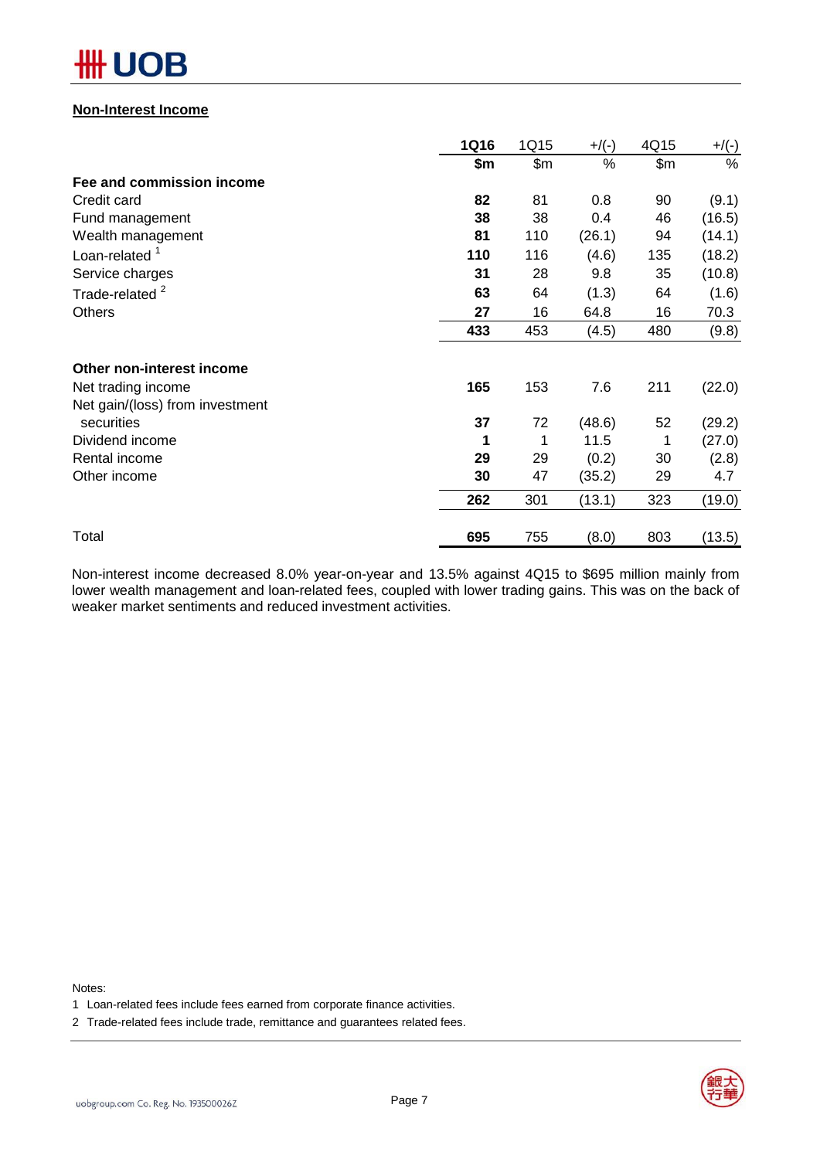# OB

#### **Non-Interest Income**

|                                 | <b>1Q16</b> | 1Q15  | $+$ /(-) | 4Q15  | $+/(-)$ |
|---------------------------------|-------------|-------|----------|-------|---------|
|                                 | \$m         | \$m\$ | %        | \$m\$ | %       |
| Fee and commission income       |             |       |          |       |         |
| Credit card                     | 82          | 81    | 0.8      | 90    | (9.1)   |
| Fund management                 | 38          | 38    | 0.4      | 46    | (16.5)  |
| Wealth management               | 81          | 110   | (26.1)   | 94    | (14.1)  |
| Loan-related $1$                | 110         | 116   | (4.6)    | 135   | (18.2)  |
| Service charges                 | 31          | 28    | 9.8      | 35    | (10.8)  |
| Trade-related <sup>2</sup>      | 63          | 64    | (1.3)    | 64    | (1.6)   |
| <b>Others</b>                   | 27          | 16    | 64.8     | 16    | 70.3    |
|                                 | 433         | 453   | (4.5)    | 480   | (9.8)   |
| Other non-interest income       |             |       |          |       |         |
| Net trading income              | 165         | 153   | 7.6      | 211   | (22.0)  |
| Net gain/(loss) from investment |             |       |          |       |         |
| securities                      | 37          | 72    | (48.6)   | 52    | (29.2)  |
| Dividend income                 | 1           | 1     | 11.5     | 1     | (27.0)  |
| Rental income                   | 29          | 29    | (0.2)    | 30    | (2.8)   |
| Other income                    | 30          | 47    | (35.2)   | 29    | 4.7     |
|                                 | 262         | 301   | (13.1)   | 323   | (19.0)  |
| Total                           | 695         | 755   | (8.0)    | 803   | (13.5)  |

Non-interest income decreased 8.0% year-on-year and 13.5% against 4Q15 to \$695 million mainly from lower wealth management and loan-related fees, coupled with lower trading gains. This was on the back of weaker market sentiments and reduced investment activities.

Notes:

- 1 Loan-related fees include fees earned from corporate finance activities.
- 2 Trade-related fees include trade, remittance and guarantees related fees.

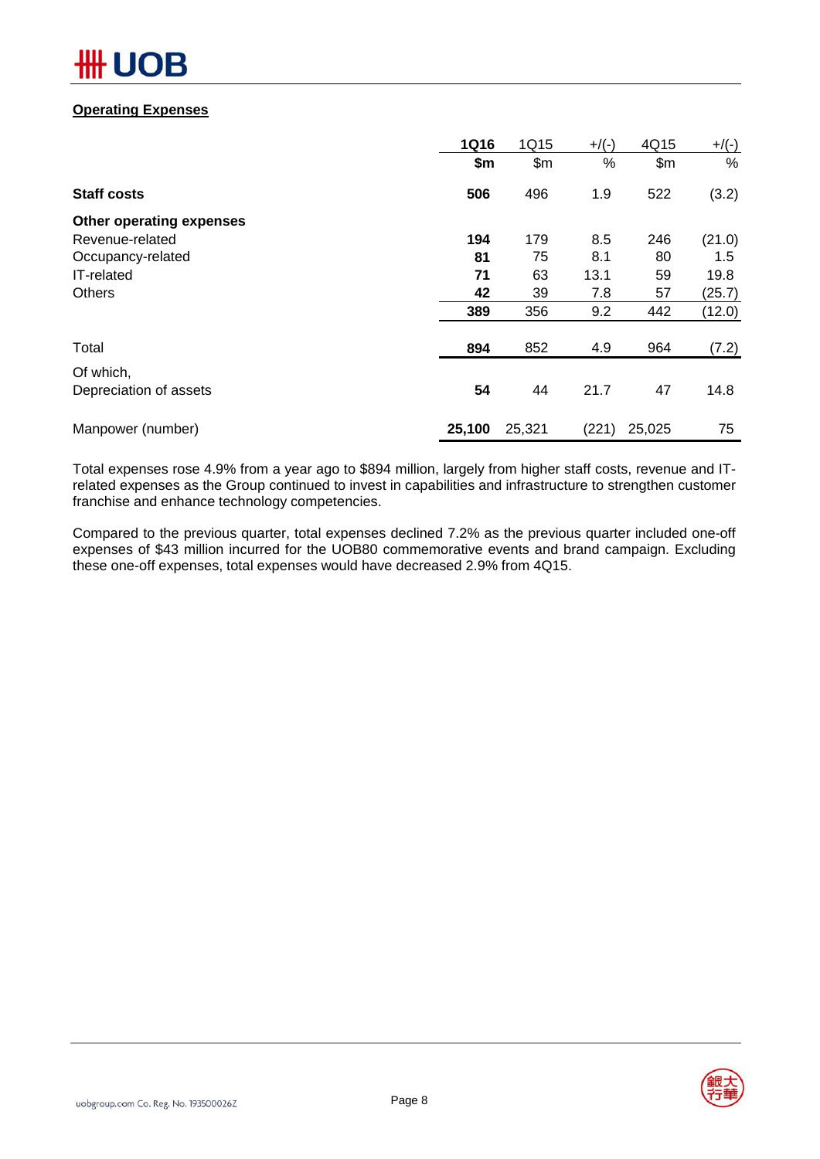# R

#### **Operating Expenses**

|                          | <b>1Q16</b> | 1Q15   | $+$ /(-) | 4Q15   | $+/(-)$ |
|--------------------------|-------------|--------|----------|--------|---------|
|                          | \$m         | \$m\$  | %        | \$m\$  | %       |
| <b>Staff costs</b>       | 506         | 496    | 1.9      | 522    | (3.2)   |
| Other operating expenses |             |        |          |        |         |
| Revenue-related          | 194         | 179    | 8.5      | 246    | (21.0)  |
| Occupancy-related        | 81          | 75     | 8.1      | 80     | 1.5     |
| IT-related               | 71          | 63     | 13.1     | 59     | 19.8    |
| <b>Others</b>            | 42          | 39     | 7.8      | 57     | (25.7)  |
|                          | 389         | 356    | 9.2      | 442    | (12.0)  |
| Total                    | 894         | 852    | 4.9      | 964    | (7.2)   |
| Of which,                |             |        |          |        |         |
| Depreciation of assets   | 54          | 44     | 21.7     | 47     | 14.8    |
| Manpower (number)        | 25,100      | 25,321 | (221)    | 25,025 | 75      |

Total expenses rose 4.9% from a year ago to \$894 million, largely from higher staff costs, revenue and ITrelated expenses as the Group continued to invest in capabilities and infrastructure to strengthen customer franchise and enhance technology competencies.

Compared to the previous quarter, total expenses declined 7.2% as the previous quarter included one-off expenses of \$43 million incurred for the UOB80 commemorative events and brand campaign. Excluding these one-off expenses, total expenses would have decreased 2.9% from 4Q15.

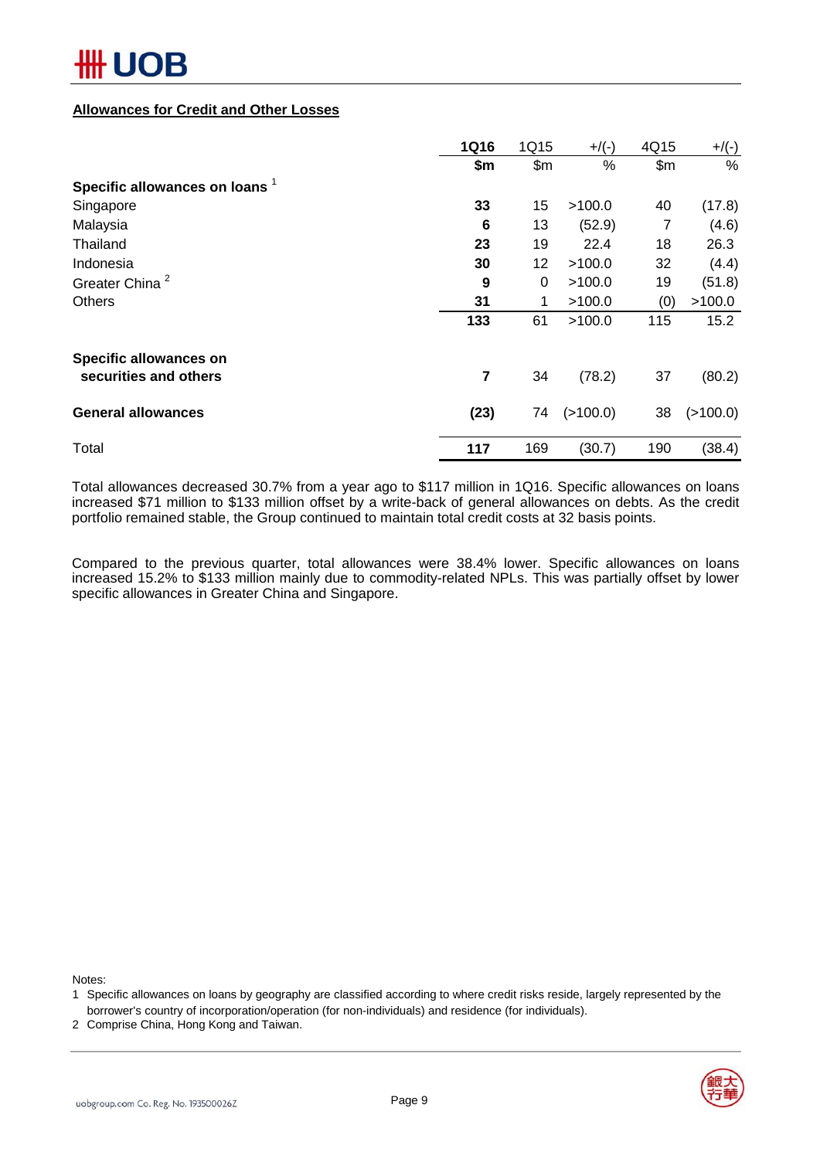#### **Allowances for Credit and Other Losses**

|                                | <b>1Q16</b> | 1Q15            | $+$ /(-) | 4Q15  | $+$ /(-) |
|--------------------------------|-------------|-----------------|----------|-------|----------|
|                                | \$m         | \$m\$           | %        | \$m\$ | %        |
| Specific allowances on loans 1 |             |                 |          |       |          |
| Singapore                      | 33          | 15              | >100.0   | 40    | (17.8)   |
| Malaysia                       | 6           | 13              | (52.9)   | 7     | (4.6)    |
| Thailand                       | 23          | 19              | 22.4     | 18    | 26.3     |
| Indonesia                      | 30          | 12 <sub>2</sub> | >100.0   | 32    | (4.4)    |
| Greater China <sup>2</sup>     | 9           | 0               | >100.0   | 19    | (51.8)   |
| <b>Others</b>                  | 31          | 1               | >100.0   | (0)   | >100.0   |
|                                | 133         | 61              | >100.0   | 115   | 15.2     |
| Specific allowances on         |             |                 |          |       |          |
| securities and others          | 7           | 34              | (78.2)   | 37    | (80.2)   |
| <b>General allowances</b>      | (23)        | 74              | (>100.0) | 38    | (>100.0) |
| Total                          | 117         | 169             | (30.7)   | 190   | (38.4)   |

Total allowances decreased 30.7% from a year ago to \$117 million in 1Q16. Specific allowances on loans increased \$71 million to \$133 million offset by a write-back of general allowances on debts. As the credit portfolio remained stable, the Group continued to maintain total credit costs at 32 basis points.

Compared to the previous quarter, total allowances were 38.4% lower. Specific allowances on loans increased 15.2% to \$133 million mainly due to commodity-related NPLs. This was partially offset by lower specific allowances in Greater China and Singapore.

Notes:

2 Comprise China, Hong Kong and Taiwan.



<sup>1</sup> Specific allowances on loans by geography are classified according to where credit risks reside, largely represented by the borrower's country of incorporation/operation (for non-individuals) and residence (for individuals).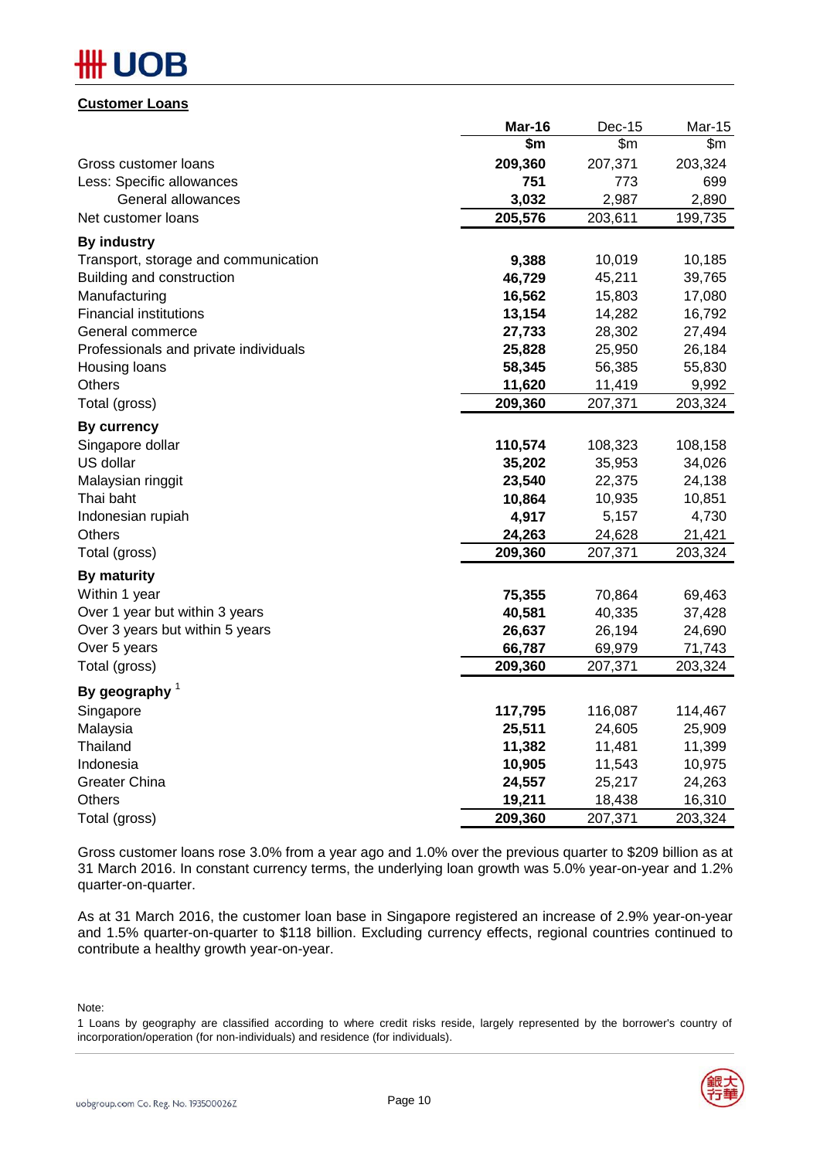#### **Customer Loans**

|                                       | Mar-16  | <b>Dec-15</b> | Mar-15  |
|---------------------------------------|---------|---------------|---------|
|                                       | \$m\$   | \$m\$         | \$m\$   |
| Gross customer loans                  | 209,360 | 207,371       | 203,324 |
| Less: Specific allowances             | 751     | 773           | 699     |
| General allowances                    | 3,032   | 2,987         | 2,890   |
| Net customer loans                    | 205,576 | 203,611       | 199,735 |
| <b>By industry</b>                    |         |               |         |
| Transport, storage and communication  | 9,388   | 10,019        | 10,185  |
| Building and construction             | 46,729  | 45,211        | 39,765  |
| Manufacturing                         | 16,562  | 15,803        | 17,080  |
| <b>Financial institutions</b>         | 13,154  | 14,282        | 16,792  |
| General commerce                      | 27,733  | 28,302        | 27,494  |
| Professionals and private individuals | 25,828  | 25,950        | 26,184  |
| Housing loans                         | 58,345  | 56,385        | 55,830  |
| Others                                | 11,620  | 11,419        | 9,992   |
| Total (gross)                         | 209,360 | 207,371       | 203,324 |
| <b>By currency</b>                    |         |               |         |
| Singapore dollar                      | 110,574 | 108,323       | 108,158 |
| US dollar                             | 35,202  | 35,953        | 34,026  |
| Malaysian ringgit                     | 23,540  | 22,375        | 24,138  |
| Thai baht                             | 10,864  | 10,935        | 10,851  |
| Indonesian rupiah                     | 4,917   | 5,157         | 4,730   |
| Others                                | 24,263  | 24,628        | 21,421  |
| Total (gross)                         | 209,360 | 207,371       | 203,324 |
| <b>By maturity</b>                    |         |               |         |
| Within 1 year                         | 75,355  | 70,864        | 69,463  |
| Over 1 year but within 3 years        | 40,581  | 40,335        | 37,428  |
| Over 3 years but within 5 years       | 26,637  | 26,194        | 24,690  |
| Over 5 years                          | 66,787  | 69,979        | 71,743  |
| Total (gross)                         | 209,360 | 207,371       | 203,324 |
| By geography $1$                      |         |               |         |
| Singapore                             | 117,795 | 116,087       | 114,467 |
| Malaysia                              | 25,511  | 24,605        | 25,909  |
| Thailand                              | 11,382  | 11,481        | 11,399  |
| Indonesia                             | 10,905  | 11,543        | 10,975  |
| <b>Greater China</b>                  | 24,557  | 25,217        | 24,263  |
| <b>Others</b>                         | 19,211  | 18,438        | 16,310  |
| Total (gross)                         | 209,360 | 207,371       | 203,324 |

Gross customer loans rose 3.0% from a year ago and 1.0% over the previous quarter to \$209 billion as at 31 March 2016. In constant currency terms, the underlying loan growth was 5.0% year-on-year and 1.2% quarter-on-quarter.

As at 31 March 2016, the customer loan base in Singapore registered an increase of 2.9% year-on-year and 1.5% quarter-on-quarter to \$118 billion. Excluding currency effects, regional countries continued to contribute a healthy growth year-on-year.

Note:

<sup>1</sup> Loans by geography are classified according to where credit risks reside, largely represented by the borrower's country of incorporation/operation (for non-individuals) and residence (for individuals).

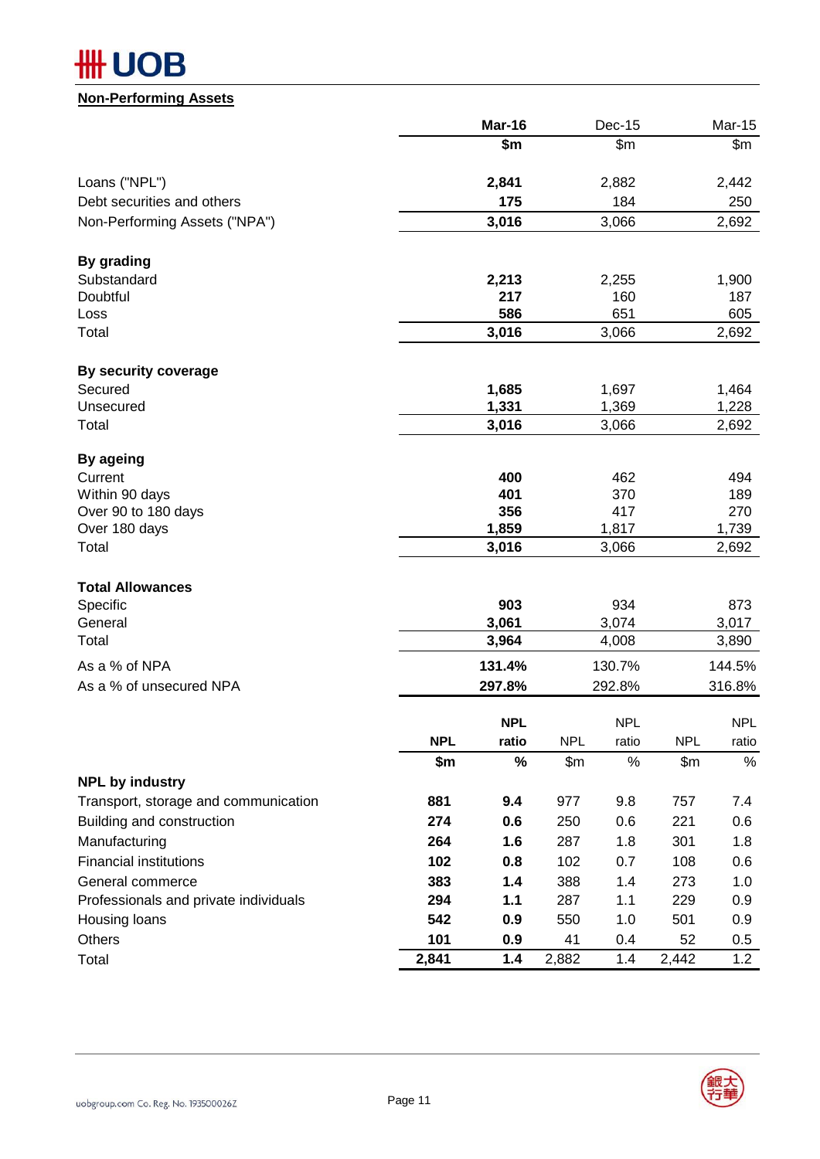# **HH UOB**

#### **Non-Performing Assets**

|                                       |                   | Mar-16          |                     | Dec-15          |                   | <b>Mar-15</b>   |
|---------------------------------------|-------------------|-----------------|---------------------|-----------------|-------------------|-----------------|
|                                       |                   | \$m             |                     | \$m\$           |                   | \$m\$           |
| Loans ("NPL")                         |                   | 2,841           |                     | 2,882           |                   | 2,442           |
| Debt securities and others            |                   | 175             |                     | 184             |                   | 250             |
| Non-Performing Assets ("NPA")         |                   | 3,016           |                     | 3,066           |                   | 2,692           |
| By grading                            |                   |                 |                     |                 |                   |                 |
| Substandard                           |                   | 2,213           |                     | 2,255           |                   | 1,900           |
| Doubtful                              |                   | 217<br>586      |                     | 160<br>651      |                   | 187<br>605      |
| Loss<br>Total                         |                   | 3,016           |                     | 3,066           |                   | 2,692           |
| By security coverage                  |                   |                 |                     |                 |                   |                 |
| Secured                               |                   | 1,685           |                     | 1,697           |                   | 1,464           |
| Unsecured                             |                   | 1,331           |                     | 1,369           |                   | 1,228           |
| Total                                 |                   | 3,016           |                     | 3,066           |                   | 2,692           |
| By ageing                             |                   |                 |                     |                 |                   |                 |
| Current                               |                   | 400             |                     | 462             |                   | 494             |
| Within 90 days<br>Over 90 to 180 days |                   | 401<br>356      |                     | 370<br>417      |                   | 189<br>270      |
| Over 180 days                         |                   | 1,859           |                     | 1,817           |                   | 1,739           |
| Total                                 |                   | 3,016           |                     | 3,066           |                   | 2,692           |
| <b>Total Allowances</b>               |                   |                 |                     |                 |                   |                 |
| Specific                              |                   | 903             |                     | 934             |                   | 873             |
| General                               |                   | 3,061           |                     | 3,074           |                   | 3,017           |
| Total<br>As a % of NPA                |                   | 3,964<br>131.4% |                     | 4,008<br>130.7% |                   | 3,890<br>144.5% |
| As a % of unsecured NPA               |                   | 297.8%          |                     | 292.8%          |                   | 316.8%          |
|                                       |                   |                 |                     |                 |                   |                 |
|                                       |                   | <b>NPL</b>      |                     | <b>NPL</b>      |                   | <b>NPL</b>      |
|                                       | <b>NPL</b><br>\$m | ratio<br>%      | <b>NPL</b><br>\$m\$ | ratio<br>%      | <b>NPL</b><br>\$m | ratio<br>%      |
| <b>NPL by industry</b>                |                   |                 |                     |                 |                   |                 |
| Transport, storage and communication  | 881               | 9.4             | 977                 | 9.8             | 757               | 7.4             |
| Building and construction             | 274               | 0.6             | 250                 | 0.6             | 221               | 0.6             |
| Manufacturing                         | 264               | 1.6             | 287                 | 1.8             | 301               | 1.8             |
| <b>Financial institutions</b>         | 102               | 0.8             | 102                 | 0.7             | 108               | 0.6             |
| General commerce                      | 383               | 1.4             | 388                 | 1.4             | 273               | 1.0             |
| Professionals and private individuals | 294               | 1.1             | 287                 | 1.1             | 229               | 0.9             |
| Housing loans                         | 542               | 0.9             | 550                 | 1.0             | 501               | 0.9             |
| Others                                | 101               | 0.9             | 41                  | 0.4             | 52                | 0.5             |
| Total                                 | 2,841             | 1.4             | 2,882               | 1.4             | 2,442             | 1.2             |

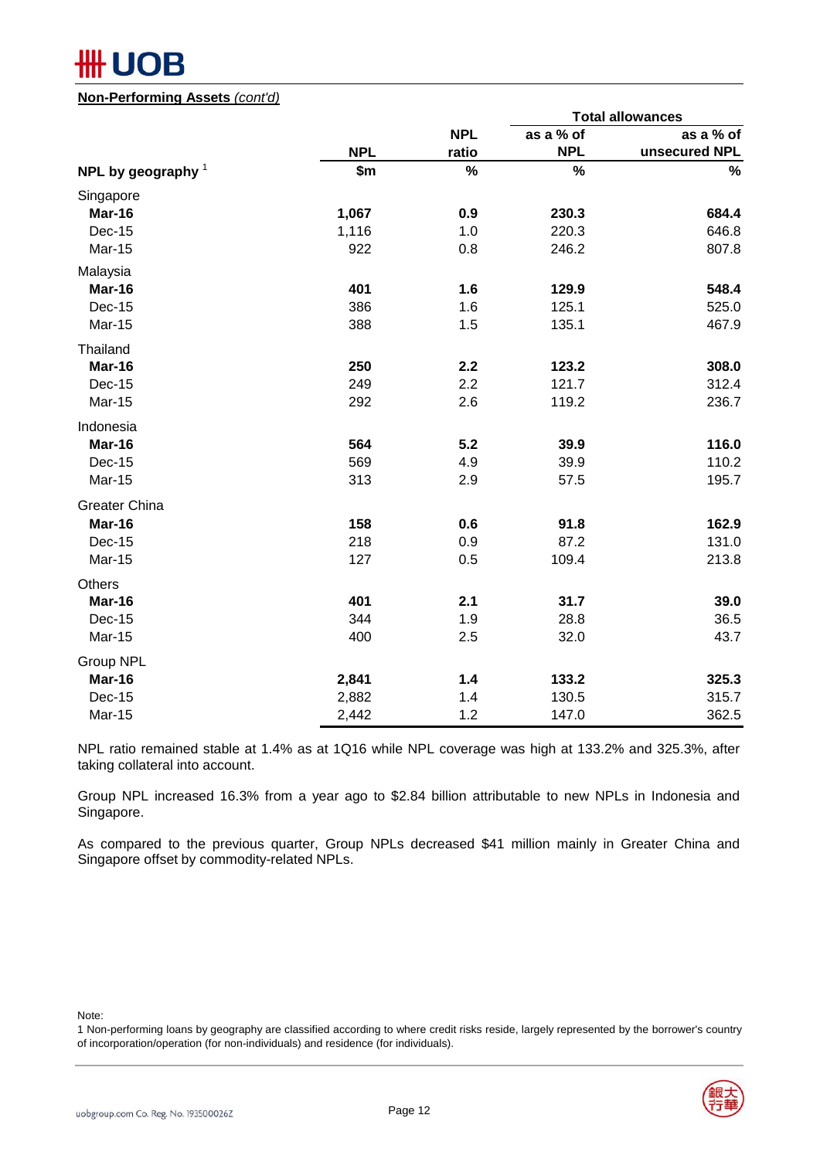# **UOB**

#### **Non-Performing Assets** *(cont'd)*

|                      |            |            | <b>Total allowances</b> |               |  |  |
|----------------------|------------|------------|-------------------------|---------------|--|--|
|                      |            | <b>NPL</b> | as a % of               | as a % of     |  |  |
|                      | <b>NPL</b> | ratio      | <b>NPL</b>              | unsecured NPL |  |  |
| NPL by geography $1$ | \$m        | $\%$       | $\%$                    | $\%$          |  |  |
| Singapore            |            |            |                         |               |  |  |
| Mar-16               | 1,067      | 0.9        | 230.3                   | 684.4         |  |  |
| Dec-15               | 1,116      | 1.0        | 220.3                   | 646.8         |  |  |
| Mar-15               | 922        | 0.8        | 246.2                   | 807.8         |  |  |
| Malaysia             |            |            |                         |               |  |  |
| Mar-16               | 401        | 1.6        | 129.9                   | 548.4         |  |  |
| <b>Dec-15</b>        | 386        | 1.6        | 125.1                   | 525.0         |  |  |
| Mar-15               | 388        | 1.5        | 135.1                   | 467.9         |  |  |
| Thailand             |            |            |                         |               |  |  |
| Mar-16               | 250        | 2.2        | 123.2                   | 308.0         |  |  |
| Dec-15               | 249        | 2.2        | 121.7                   | 312.4         |  |  |
| Mar-15               | 292        | 2.6        | 119.2                   | 236.7         |  |  |
| Indonesia            |            |            |                         |               |  |  |
| Mar-16               | 564        | 5.2        | 39.9                    | 116.0         |  |  |
| Dec-15               | 569        | 4.9        | 39.9                    | 110.2         |  |  |
| <b>Mar-15</b>        | 313        | 2.9        | 57.5                    | 195.7         |  |  |
| <b>Greater China</b> |            |            |                         |               |  |  |
| Mar-16               | 158        | 0.6        | 91.8                    | 162.9         |  |  |
| Dec-15               | 218        | 0.9        | 87.2                    | 131.0         |  |  |
| Mar-15               | 127        | 0.5        | 109.4                   | 213.8         |  |  |
| Others               |            |            |                         |               |  |  |
| Mar-16               | 401        | 2.1        | 31.7                    | 39.0          |  |  |
| Dec-15               | 344        | 1.9        | 28.8                    | 36.5          |  |  |
| Mar-15               | 400        | 2.5        | 32.0                    | 43.7          |  |  |
| Group NPL            |            |            |                         |               |  |  |
| Mar-16               | 2,841      | 1.4        | 133.2                   | 325.3         |  |  |
| <b>Dec-15</b>        | 2,882      | 1.4        | 130.5                   | 315.7         |  |  |
| Mar-15               | 2,442      | 1.2        | 147.0                   | 362.5         |  |  |

NPL ratio remained stable at 1.4% as at 1Q16 while NPL coverage was high at 133.2% and 325.3%, after taking collateral into account.

Group NPL increased 16.3% from a year ago to \$2.84 billion attributable to new NPLs in Indonesia and Singapore.

As compared to the previous quarter, Group NPLs decreased \$41 million mainly in Greater China and Singapore offset by commodity-related NPLs.

Note:

<sup>1</sup> Non-performing loans by geography are classified according to where credit risks reside, largely represented by the borrower's country of incorporation/operation (for non-individuals) and residence (for individuals).

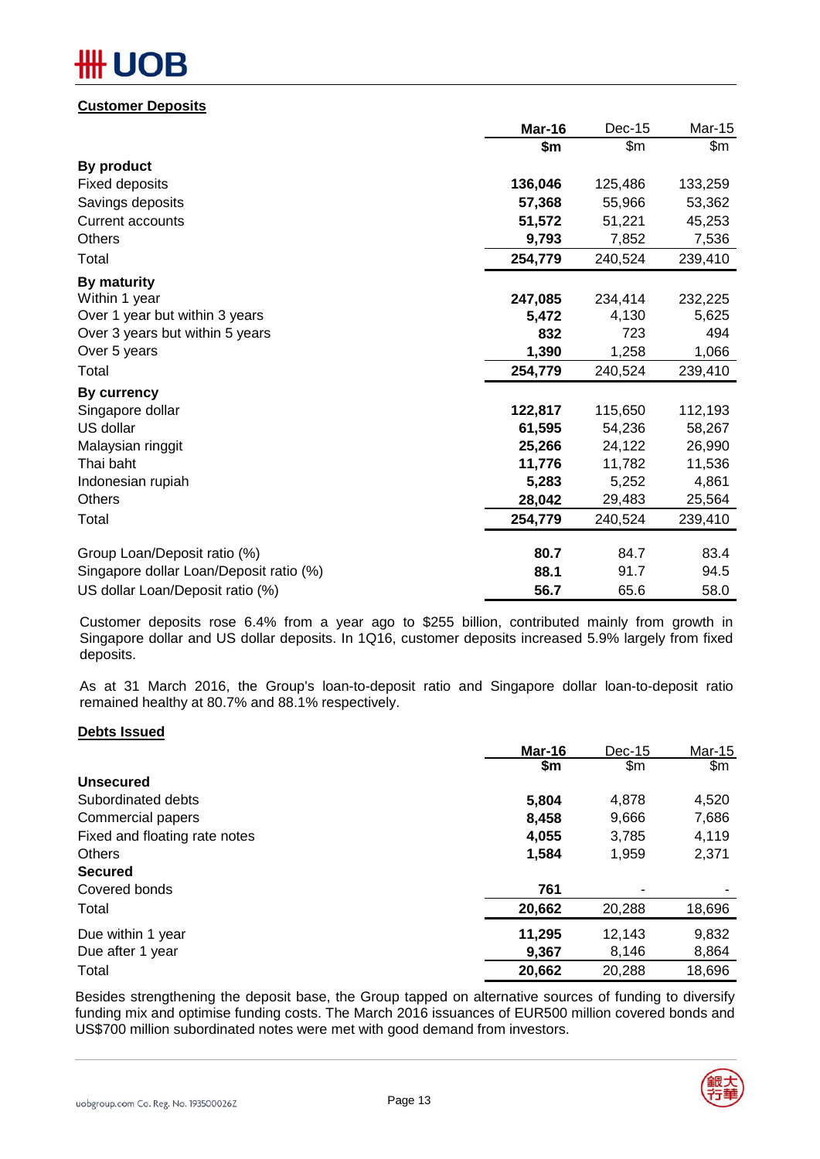# IB

#### **Customer Deposits**

|                                         | Mar-16  | Dec-15  | Mar-15  |
|-----------------------------------------|---------|---------|---------|
|                                         | \$m     | \$m\$   | \$m     |
| By product                              |         |         |         |
| <b>Fixed deposits</b>                   | 136,046 | 125,486 | 133,259 |
| Savings deposits                        | 57,368  | 55,966  | 53,362  |
| Current accounts                        | 51,572  | 51,221  | 45,253  |
| <b>Others</b>                           | 9,793   | 7,852   | 7,536   |
| Total                                   | 254,779 | 240,524 | 239,410 |
| By maturity                             |         |         |         |
| Within 1 year                           | 247,085 | 234,414 | 232,225 |
| Over 1 year but within 3 years          | 5,472   | 4,130   | 5,625   |
| Over 3 years but within 5 years         | 832     | 723     | 494     |
| Over 5 years                            | 1,390   | 1,258   | 1,066   |
| Total                                   | 254,779 | 240,524 | 239,410 |
| By currency                             |         |         |         |
| Singapore dollar                        | 122,817 | 115,650 | 112,193 |
| US dollar                               | 61,595  | 54,236  | 58,267  |
| Malaysian ringgit                       | 25,266  | 24,122  | 26,990  |
| Thai baht                               | 11,776  | 11,782  | 11,536  |
| Indonesian rupiah                       | 5,283   | 5,252   | 4,861   |
| <b>Others</b>                           | 28,042  | 29,483  | 25,564  |
| Total                                   | 254,779 | 240,524 | 239,410 |
| Group Loan/Deposit ratio (%)            | 80.7    | 84.7    | 83.4    |
| Singapore dollar Loan/Deposit ratio (%) | 88.1    | 91.7    | 94.5    |
| US dollar Loan/Deposit ratio (%)        | 56.7    | 65.6    | 58.0    |

Customer deposits rose 6.4% from a year ago to \$255 billion, contributed mainly from growth in Singapore dollar and US dollar deposits. In 1Q16, customer deposits increased 5.9% largely from fixed deposits.

As at 31 March 2016, the Group's loan-to-deposit ratio and Singapore dollar loan-to-deposit ratio remained healthy at 80.7% and 88.1% respectively.

#### **Debts Issued**

|                               | Mar-16 | Dec-15        | Mar-15        |
|-------------------------------|--------|---------------|---------------|
|                               | \$m    | $\mathsf{Sm}$ | $\mathsf{Sm}$ |
| <b>Unsecured</b>              |        |               |               |
| Subordinated debts            | 5,804  | 4,878         | 4,520         |
| Commercial papers             | 8,458  | 9,666         | 7,686         |
| Fixed and floating rate notes | 4,055  | 3,785         | 4,119         |
| <b>Others</b>                 | 1,584  | 1,959         | 2,371         |
| <b>Secured</b>                |        |               |               |
| Covered bonds                 | 761    |               |               |
| Total                         | 20,662 | 20,288        | 18,696        |
| Due within 1 year             | 11,295 | 12,143        | 9,832         |
| Due after 1 year              | 9,367  | 8,146         | 8,864         |
| Total                         | 20,662 | 20,288        | 18,696        |

Besides strengthening the deposit base, the Group tapped on alternative sources of funding to diversify funding mix and optimise funding costs. The March 2016 issuances of EUR500 million covered bonds and US\$700 million subordinated notes were met with good demand from investors.

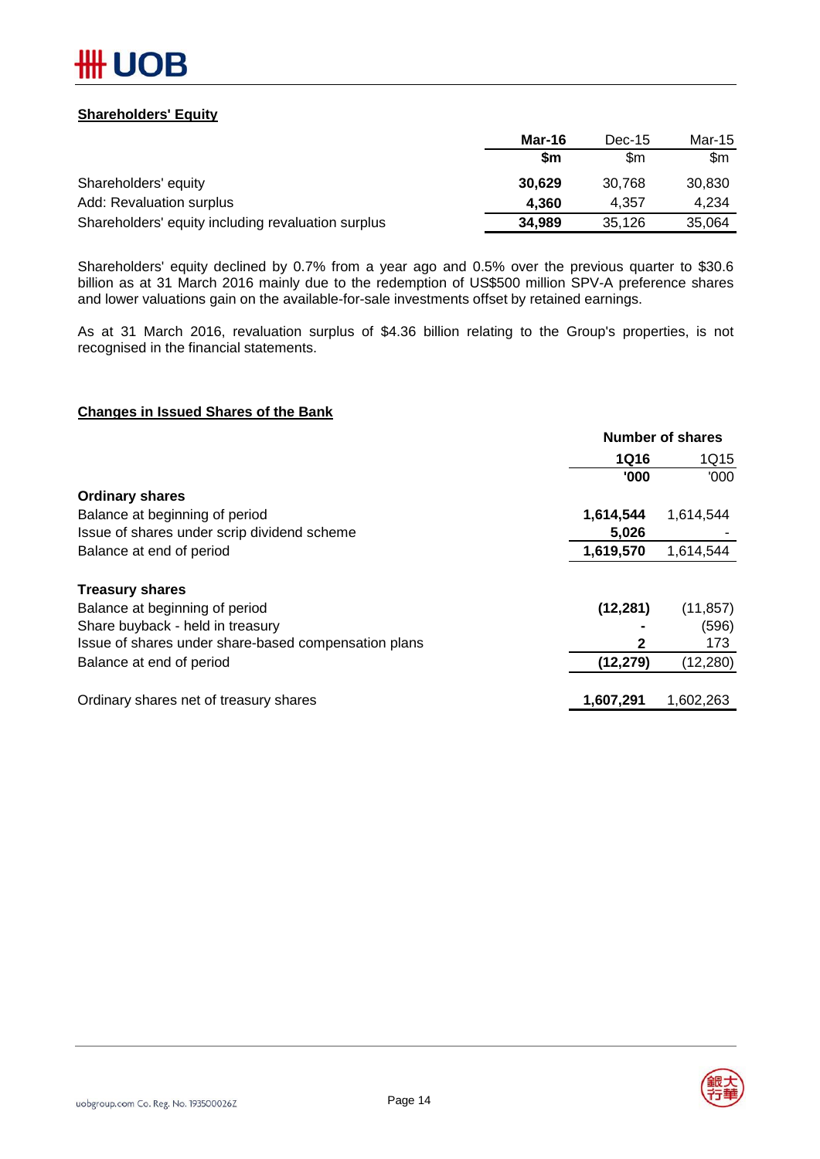

#### **Shareholders' Equity**

|                                                    | Mar-16    | $Dec-15$ | Mar-15 |
|----------------------------------------------------|-----------|----------|--------|
|                                                    | <b>Sm</b> | \$m      | \$m    |
| Shareholders' equity                               | 30,629    | 30.768   | 30,830 |
| <b>Add: Revaluation surplus</b>                    | 4.360     | 4.357    | 4.234  |
| Shareholders' equity including revaluation surplus | 34,989    | 35,126   | 35,064 |

Shareholders' equity declined by 0.7% from a year ago and 0.5% over the previous quarter to \$30.6 billion as at 31 March 2016 mainly due to the redemption of US\$500 million SPV-A preference shares and lower valuations gain on the available-for-sale investments offset by retained earnings.

As at 31 March 2016, revaluation surplus of \$4.36 billion relating to the Group's properties, is not recognised in the financial statements.

#### **Changes in Issued Shares of the Bank**

| <b>Number of shares</b> |           |  |
|-------------------------|-----------|--|
| <b>1Q16</b>             | 1Q15      |  |
| '000                    | '000      |  |
|                         |           |  |
| 1,614,544               | 1,614,544 |  |
| 5,026                   |           |  |
| 1,619,570               | 1,614,544 |  |
|                         |           |  |
| (12, 281)               | (11, 857) |  |
|                         | (596)     |  |
|                         | 173       |  |
| (12, 279)               | (12, 280) |  |
| 1,607,291               | 1,602,263 |  |
|                         |           |  |

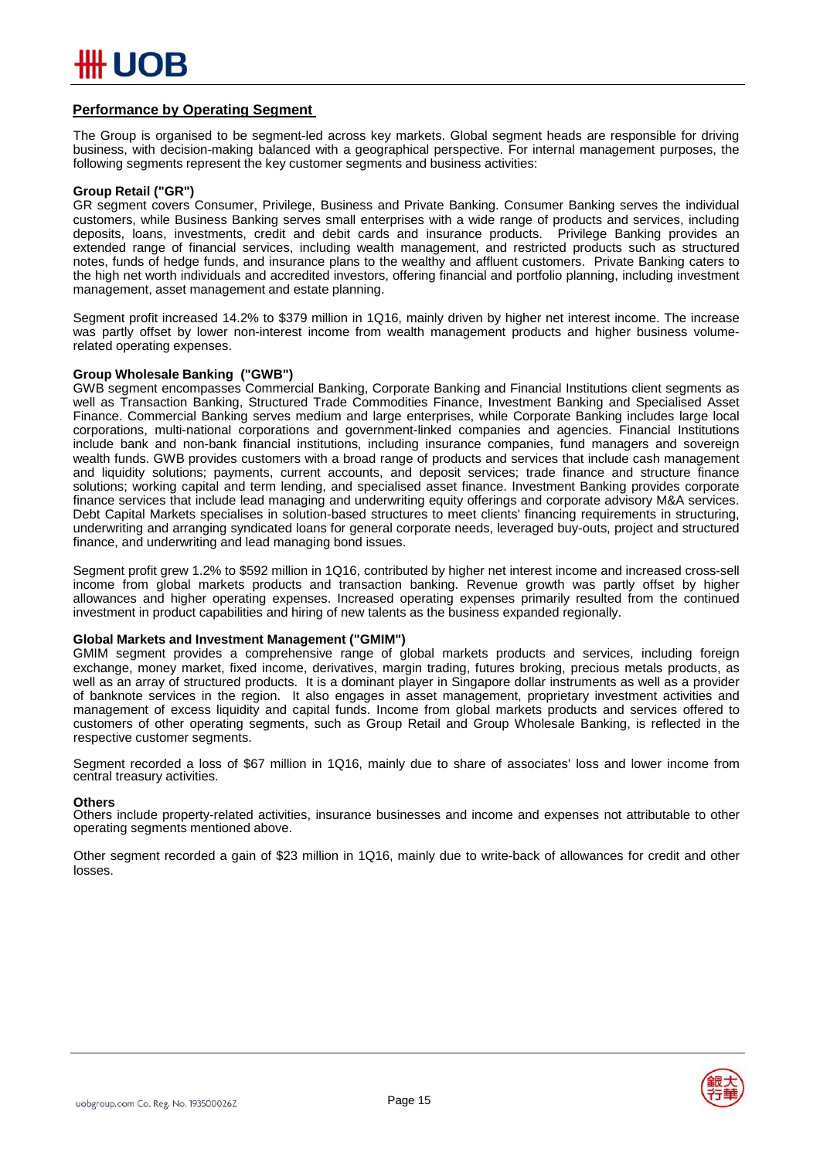#### **Performance by Operating Segment**

The Group is organised to be segment-led across key markets. Global segment heads are responsible for driving business, with decision-making balanced with a geographical perspective. For internal management purposes, the following segments represent the key customer segments and business activities:

#### **Group Retail ("GR")**

GR segment covers Consumer, Privilege, Business and Private Banking. Consumer Banking serves the individual customers, while Business Banking serves small enterprises with a wide range of products and services, including deposits, loans, investments, credit and debit cards and insurance products. Privilege Banking provides an extended range of financial services, including wealth management, and restricted products such as structured notes, funds of hedge funds, and insurance plans to the wealthy and affluent customers. Private Banking caters to the high net worth individuals and accredited investors, offering financial and portfolio planning, including investment management, asset management and estate planning.

Segment profit increased 14.2% to \$379 million in 1Q16, mainly driven by higher net interest income. The increase was partly offset by lower non-interest income from wealth management products and higher business volumerelated operating expenses.

#### **Group Wholesale Banking ("GWB")**

GWB segment encompasses Commercial Banking, Corporate Banking and Financial Institutions client segments as well as Transaction Banking, Structured Trade Commodities Finance, Investment Banking and Specialised Asset Finance. Commercial Banking serves medium and large enterprises, while Corporate Banking includes large local corporations, multi-national corporations and government-linked companies and agencies. Financial Institutions include bank and non-bank financial institutions, including insurance companies, fund managers and sovereign wealth funds. GWB provides customers with a broad range of products and services that include cash management and liquidity solutions; payments, current accounts, and deposit services; trade finance and structure finance solutions; working capital and term lending, and specialised asset finance. Investment Banking provides corporate finance services that include lead managing and underwriting equity offerings and corporate advisory M&A services. Debt Capital Markets specialises in solution-based structures to meet clients' financing requirements in structuring, underwriting and arranging syndicated loans for general corporate needs, leveraged buy-outs, project and structured finance, and underwriting and lead managing bond issues.

Segment profit grew 1.2% to \$592 million in 1Q16, contributed by higher net interest income and increased cross-sell income from global markets products and transaction banking. Revenue growth was partly offset by higher allowances and higher operating expenses. Increased operating expenses primarily resulted from the continued investment in product capabilities and hiring of new talents as the business expanded regionally.

#### **Global Markets and Investment Management ("GMIM")**

GMIM segment provides a comprehensive range of global markets products and services, including foreign exchange, money market, fixed income, derivatives, margin trading, futures broking, precious metals products, as well as an array of structured products. It is a dominant player in Singapore dollar instruments as well as a provider of banknote services in the region. It also engages in asset management, proprietary investment activities and management of excess liquidity and capital funds. Income from global markets products and services offered to customers of other operating segments, such as Group Retail and Group Wholesale Banking, is reflected in the respective customer segments.

Segment recorded a loss of \$67 million in 1Q16, mainly due to share of associates' loss and lower income from central treasury activities.

#### **Others**

Others include property-related activities, insurance businesses and income and expenses not attributable to other operating segments mentioned above.

Other segment recorded a gain of \$23 million in 1Q16, mainly due to write-back of allowances for credit and other losses.

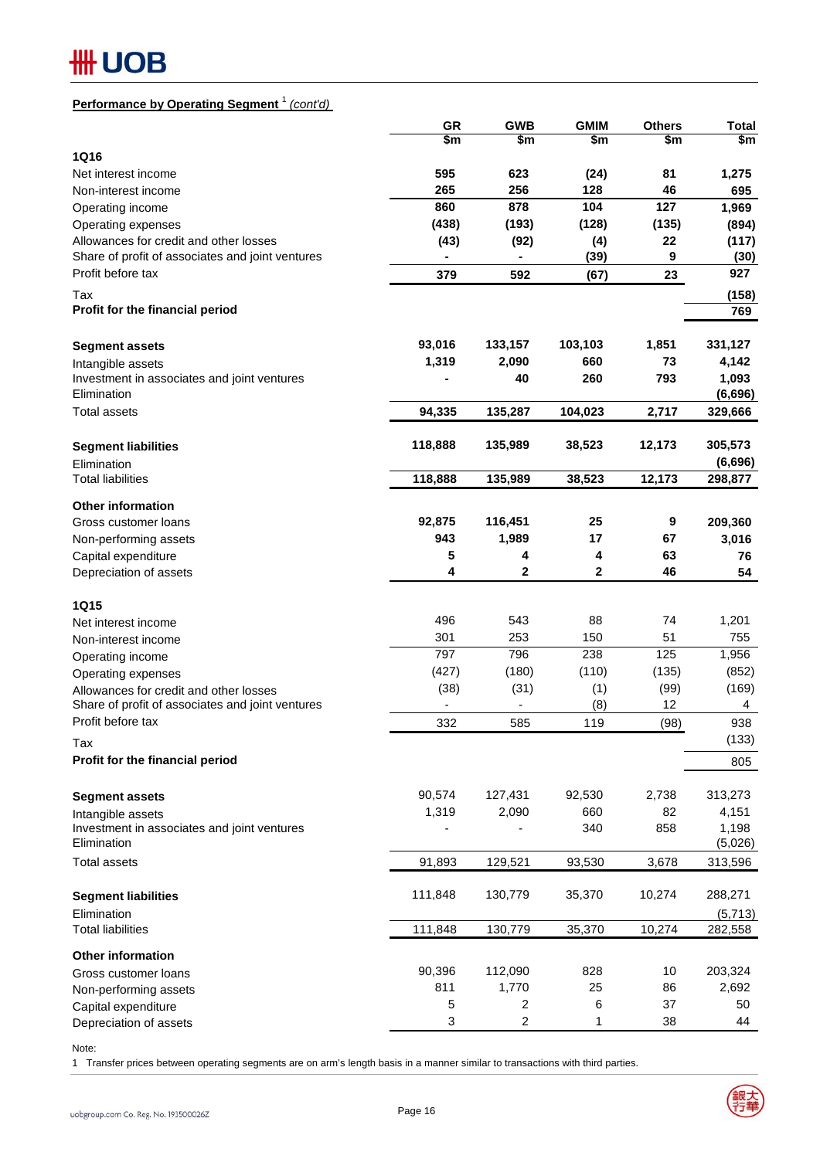## **## UOB**

### **Performance by Operating Segment** <sup>1</sup> *(cont'd)*

| \$m<br>\$m<br>\$m<br>\$m<br>\$m<br><b>1Q16</b><br>595<br>623<br>81<br>Net interest income<br>(24)<br>1,275<br>256<br>265<br>128<br>46<br>Non-interest income<br>695<br>127<br>860<br>878<br>104<br>1,969<br>Operating income<br>(438)<br>(193)<br>(128)<br>(135)<br>Operating expenses<br>(894)<br>(92)<br>22<br>Allowances for credit and other losses<br>(43)<br>(4)<br>(117)<br>(39)<br>9<br>Share of profit of associates and joint ventures<br>(30)<br>۰<br>927<br>Profit before tax<br>592<br>23<br>379<br>(67)<br>Tax<br>(158)<br>Profit for the financial period<br>769<br>1,851<br>93,016<br>133,157<br>103,103<br>331,127<br><b>Segment assets</b><br>1,319<br>2,090<br>660<br>73<br>4,142<br>Intangible assets<br>1,093<br>40<br>260<br>793<br>Investment in associates and joint ventures<br>Elimination<br>(6,696)<br><b>Total assets</b><br>94,335<br>135,287<br>104,023<br>2,717<br>329,666<br>118,888<br>12,173<br>305,573<br>135,989<br>38,523<br><b>Segment liabilities</b><br>(6,696)<br>Elimination<br>38,523<br>12,173<br>298,877<br><b>Total liabilities</b><br>118,888<br>135,989<br><b>Other information</b><br>92,875<br>116,451<br>9<br>25<br>Gross customer loans<br>209,360<br>943<br>1,989<br>17<br>67<br>3,016<br>Non-performing assets<br>5<br>4<br>4<br>63<br>Capital expenditure<br>76<br>$\mathbf 2$<br>$\overline{2}$<br>4<br>46<br>Depreciation of assets<br>54<br><b>1Q15</b><br>496<br>543<br>88<br>74<br>1,201<br>Net interest income<br>301<br>253<br>150<br>51<br>755<br>Non-interest income<br>797<br>238<br>796<br>125<br>1,956<br>Operating income<br>(427)<br>(180)<br>(110)<br>(135)<br>(852)<br>Operating expenses<br>(38)<br>(31)<br>(1)<br>(99)<br>(169)<br>Allowances for credit and other losses<br>(8)<br>12<br>Share of profit of associates and joint ventures<br>4<br>Profit before tax<br>332<br>585<br>119<br>(98)<br>938<br>(133)<br>Tax<br>Profit for the financial period<br>805<br>2,738<br>90,574<br>127,431<br>92,530<br>313,273<br><b>Segment assets</b><br>1,319<br>2,090<br>660<br>82<br>4,151<br>Intangible assets<br>340<br>1,198<br>Investment in associates and joint ventures<br>858<br>Elimination<br>(5,026)<br>91,893<br>93,530<br>3,678<br><b>Total assets</b><br>129,521<br>313,596<br>111,848<br>130,779<br>35,370<br>10,274<br>288,271<br><b>Segment liabilities</b><br>Elimination<br>(5,713) | <b>GR</b> | <b>GWB</b> | <b>GMIM</b> | <b>Others</b> | <b>Total</b> |
|------------------------------------------------------------------------------------------------------------------------------------------------------------------------------------------------------------------------------------------------------------------------------------------------------------------------------------------------------------------------------------------------------------------------------------------------------------------------------------------------------------------------------------------------------------------------------------------------------------------------------------------------------------------------------------------------------------------------------------------------------------------------------------------------------------------------------------------------------------------------------------------------------------------------------------------------------------------------------------------------------------------------------------------------------------------------------------------------------------------------------------------------------------------------------------------------------------------------------------------------------------------------------------------------------------------------------------------------------------------------------------------------------------------------------------------------------------------------------------------------------------------------------------------------------------------------------------------------------------------------------------------------------------------------------------------------------------------------------------------------------------------------------------------------------------------------------------------------------------------------------------------------------------------------------------------------------------------------------------------------------------------------------------------------------------------------------------------------------------------------------------------------------------------------------------------------------------------------------------------------------------------------------------------------------------------------------------------------------------------------------|-----------|------------|-------------|---------------|--------------|
|                                                                                                                                                                                                                                                                                                                                                                                                                                                                                                                                                                                                                                                                                                                                                                                                                                                                                                                                                                                                                                                                                                                                                                                                                                                                                                                                                                                                                                                                                                                                                                                                                                                                                                                                                                                                                                                                                                                                                                                                                                                                                                                                                                                                                                                                                                                                                                              |           |            |             |               |              |
|                                                                                                                                                                                                                                                                                                                                                                                                                                                                                                                                                                                                                                                                                                                                                                                                                                                                                                                                                                                                                                                                                                                                                                                                                                                                                                                                                                                                                                                                                                                                                                                                                                                                                                                                                                                                                                                                                                                                                                                                                                                                                                                                                                                                                                                                                                                                                                              |           |            |             |               |              |
|                                                                                                                                                                                                                                                                                                                                                                                                                                                                                                                                                                                                                                                                                                                                                                                                                                                                                                                                                                                                                                                                                                                                                                                                                                                                                                                                                                                                                                                                                                                                                                                                                                                                                                                                                                                                                                                                                                                                                                                                                                                                                                                                                                                                                                                                                                                                                                              |           |            |             |               |              |
|                                                                                                                                                                                                                                                                                                                                                                                                                                                                                                                                                                                                                                                                                                                                                                                                                                                                                                                                                                                                                                                                                                                                                                                                                                                                                                                                                                                                                                                                                                                                                                                                                                                                                                                                                                                                                                                                                                                                                                                                                                                                                                                                                                                                                                                                                                                                                                              |           |            |             |               |              |
|                                                                                                                                                                                                                                                                                                                                                                                                                                                                                                                                                                                                                                                                                                                                                                                                                                                                                                                                                                                                                                                                                                                                                                                                                                                                                                                                                                                                                                                                                                                                                                                                                                                                                                                                                                                                                                                                                                                                                                                                                                                                                                                                                                                                                                                                                                                                                                              |           |            |             |               |              |
|                                                                                                                                                                                                                                                                                                                                                                                                                                                                                                                                                                                                                                                                                                                                                                                                                                                                                                                                                                                                                                                                                                                                                                                                                                                                                                                                                                                                                                                                                                                                                                                                                                                                                                                                                                                                                                                                                                                                                                                                                                                                                                                                                                                                                                                                                                                                                                              |           |            |             |               |              |
|                                                                                                                                                                                                                                                                                                                                                                                                                                                                                                                                                                                                                                                                                                                                                                                                                                                                                                                                                                                                                                                                                                                                                                                                                                                                                                                                                                                                                                                                                                                                                                                                                                                                                                                                                                                                                                                                                                                                                                                                                                                                                                                                                                                                                                                                                                                                                                              |           |            |             |               |              |
|                                                                                                                                                                                                                                                                                                                                                                                                                                                                                                                                                                                                                                                                                                                                                                                                                                                                                                                                                                                                                                                                                                                                                                                                                                                                                                                                                                                                                                                                                                                                                                                                                                                                                                                                                                                                                                                                                                                                                                                                                                                                                                                                                                                                                                                                                                                                                                              |           |            |             |               |              |
|                                                                                                                                                                                                                                                                                                                                                                                                                                                                                                                                                                                                                                                                                                                                                                                                                                                                                                                                                                                                                                                                                                                                                                                                                                                                                                                                                                                                                                                                                                                                                                                                                                                                                                                                                                                                                                                                                                                                                                                                                                                                                                                                                                                                                                                                                                                                                                              |           |            |             |               |              |
|                                                                                                                                                                                                                                                                                                                                                                                                                                                                                                                                                                                                                                                                                                                                                                                                                                                                                                                                                                                                                                                                                                                                                                                                                                                                                                                                                                                                                                                                                                                                                                                                                                                                                                                                                                                                                                                                                                                                                                                                                                                                                                                                                                                                                                                                                                                                                                              |           |            |             |               |              |
|                                                                                                                                                                                                                                                                                                                                                                                                                                                                                                                                                                                                                                                                                                                                                                                                                                                                                                                                                                                                                                                                                                                                                                                                                                                                                                                                                                                                                                                                                                                                                                                                                                                                                                                                                                                                                                                                                                                                                                                                                                                                                                                                                                                                                                                                                                                                                                              |           |            |             |               |              |
|                                                                                                                                                                                                                                                                                                                                                                                                                                                                                                                                                                                                                                                                                                                                                                                                                                                                                                                                                                                                                                                                                                                                                                                                                                                                                                                                                                                                                                                                                                                                                                                                                                                                                                                                                                                                                                                                                                                                                                                                                                                                                                                                                                                                                                                                                                                                                                              |           |            |             |               |              |
|                                                                                                                                                                                                                                                                                                                                                                                                                                                                                                                                                                                                                                                                                                                                                                                                                                                                                                                                                                                                                                                                                                                                                                                                                                                                                                                                                                                                                                                                                                                                                                                                                                                                                                                                                                                                                                                                                                                                                                                                                                                                                                                                                                                                                                                                                                                                                                              |           |            |             |               |              |
|                                                                                                                                                                                                                                                                                                                                                                                                                                                                                                                                                                                                                                                                                                                                                                                                                                                                                                                                                                                                                                                                                                                                                                                                                                                                                                                                                                                                                                                                                                                                                                                                                                                                                                                                                                                                                                                                                                                                                                                                                                                                                                                                                                                                                                                                                                                                                                              |           |            |             |               |              |
|                                                                                                                                                                                                                                                                                                                                                                                                                                                                                                                                                                                                                                                                                                                                                                                                                                                                                                                                                                                                                                                                                                                                                                                                                                                                                                                                                                                                                                                                                                                                                                                                                                                                                                                                                                                                                                                                                                                                                                                                                                                                                                                                                                                                                                                                                                                                                                              |           |            |             |               |              |
|                                                                                                                                                                                                                                                                                                                                                                                                                                                                                                                                                                                                                                                                                                                                                                                                                                                                                                                                                                                                                                                                                                                                                                                                                                                                                                                                                                                                                                                                                                                                                                                                                                                                                                                                                                                                                                                                                                                                                                                                                                                                                                                                                                                                                                                                                                                                                                              |           |            |             |               |              |
|                                                                                                                                                                                                                                                                                                                                                                                                                                                                                                                                                                                                                                                                                                                                                                                                                                                                                                                                                                                                                                                                                                                                                                                                                                                                                                                                                                                                                                                                                                                                                                                                                                                                                                                                                                                                                                                                                                                                                                                                                                                                                                                                                                                                                                                                                                                                                                              |           |            |             |               |              |
|                                                                                                                                                                                                                                                                                                                                                                                                                                                                                                                                                                                                                                                                                                                                                                                                                                                                                                                                                                                                                                                                                                                                                                                                                                                                                                                                                                                                                                                                                                                                                                                                                                                                                                                                                                                                                                                                                                                                                                                                                                                                                                                                                                                                                                                                                                                                                                              |           |            |             |               |              |
|                                                                                                                                                                                                                                                                                                                                                                                                                                                                                                                                                                                                                                                                                                                                                                                                                                                                                                                                                                                                                                                                                                                                                                                                                                                                                                                                                                                                                                                                                                                                                                                                                                                                                                                                                                                                                                                                                                                                                                                                                                                                                                                                                                                                                                                                                                                                                                              |           |            |             |               |              |
|                                                                                                                                                                                                                                                                                                                                                                                                                                                                                                                                                                                                                                                                                                                                                                                                                                                                                                                                                                                                                                                                                                                                                                                                                                                                                                                                                                                                                                                                                                                                                                                                                                                                                                                                                                                                                                                                                                                                                                                                                                                                                                                                                                                                                                                                                                                                                                              |           |            |             |               |              |
|                                                                                                                                                                                                                                                                                                                                                                                                                                                                                                                                                                                                                                                                                                                                                                                                                                                                                                                                                                                                                                                                                                                                                                                                                                                                                                                                                                                                                                                                                                                                                                                                                                                                                                                                                                                                                                                                                                                                                                                                                                                                                                                                                                                                                                                                                                                                                                              |           |            |             |               |              |
|                                                                                                                                                                                                                                                                                                                                                                                                                                                                                                                                                                                                                                                                                                                                                                                                                                                                                                                                                                                                                                                                                                                                                                                                                                                                                                                                                                                                                                                                                                                                                                                                                                                                                                                                                                                                                                                                                                                                                                                                                                                                                                                                                                                                                                                                                                                                                                              |           |            |             |               |              |
|                                                                                                                                                                                                                                                                                                                                                                                                                                                                                                                                                                                                                                                                                                                                                                                                                                                                                                                                                                                                                                                                                                                                                                                                                                                                                                                                                                                                                                                                                                                                                                                                                                                                                                                                                                                                                                                                                                                                                                                                                                                                                                                                                                                                                                                                                                                                                                              |           |            |             |               |              |
|                                                                                                                                                                                                                                                                                                                                                                                                                                                                                                                                                                                                                                                                                                                                                                                                                                                                                                                                                                                                                                                                                                                                                                                                                                                                                                                                                                                                                                                                                                                                                                                                                                                                                                                                                                                                                                                                                                                                                                                                                                                                                                                                                                                                                                                                                                                                                                              |           |            |             |               |              |
|                                                                                                                                                                                                                                                                                                                                                                                                                                                                                                                                                                                                                                                                                                                                                                                                                                                                                                                                                                                                                                                                                                                                                                                                                                                                                                                                                                                                                                                                                                                                                                                                                                                                                                                                                                                                                                                                                                                                                                                                                                                                                                                                                                                                                                                                                                                                                                              |           |            |             |               |              |
|                                                                                                                                                                                                                                                                                                                                                                                                                                                                                                                                                                                                                                                                                                                                                                                                                                                                                                                                                                                                                                                                                                                                                                                                                                                                                                                                                                                                                                                                                                                                                                                                                                                                                                                                                                                                                                                                                                                                                                                                                                                                                                                                                                                                                                                                                                                                                                              |           |            |             |               |              |
|                                                                                                                                                                                                                                                                                                                                                                                                                                                                                                                                                                                                                                                                                                                                                                                                                                                                                                                                                                                                                                                                                                                                                                                                                                                                                                                                                                                                                                                                                                                                                                                                                                                                                                                                                                                                                                                                                                                                                                                                                                                                                                                                                                                                                                                                                                                                                                              |           |            |             |               |              |
|                                                                                                                                                                                                                                                                                                                                                                                                                                                                                                                                                                                                                                                                                                                                                                                                                                                                                                                                                                                                                                                                                                                                                                                                                                                                                                                                                                                                                                                                                                                                                                                                                                                                                                                                                                                                                                                                                                                                                                                                                                                                                                                                                                                                                                                                                                                                                                              |           |            |             |               |              |
|                                                                                                                                                                                                                                                                                                                                                                                                                                                                                                                                                                                                                                                                                                                                                                                                                                                                                                                                                                                                                                                                                                                                                                                                                                                                                                                                                                                                                                                                                                                                                                                                                                                                                                                                                                                                                                                                                                                                                                                                                                                                                                                                                                                                                                                                                                                                                                              |           |            |             |               |              |
|                                                                                                                                                                                                                                                                                                                                                                                                                                                                                                                                                                                                                                                                                                                                                                                                                                                                                                                                                                                                                                                                                                                                                                                                                                                                                                                                                                                                                                                                                                                                                                                                                                                                                                                                                                                                                                                                                                                                                                                                                                                                                                                                                                                                                                                                                                                                                                              |           |            |             |               |              |
|                                                                                                                                                                                                                                                                                                                                                                                                                                                                                                                                                                                                                                                                                                                                                                                                                                                                                                                                                                                                                                                                                                                                                                                                                                                                                                                                                                                                                                                                                                                                                                                                                                                                                                                                                                                                                                                                                                                                                                                                                                                                                                                                                                                                                                                                                                                                                                              |           |            |             |               |              |
|                                                                                                                                                                                                                                                                                                                                                                                                                                                                                                                                                                                                                                                                                                                                                                                                                                                                                                                                                                                                                                                                                                                                                                                                                                                                                                                                                                                                                                                                                                                                                                                                                                                                                                                                                                                                                                                                                                                                                                                                                                                                                                                                                                                                                                                                                                                                                                              |           |            |             |               |              |
|                                                                                                                                                                                                                                                                                                                                                                                                                                                                                                                                                                                                                                                                                                                                                                                                                                                                                                                                                                                                                                                                                                                                                                                                                                                                                                                                                                                                                                                                                                                                                                                                                                                                                                                                                                                                                                                                                                                                                                                                                                                                                                                                                                                                                                                                                                                                                                              |           |            |             |               |              |
|                                                                                                                                                                                                                                                                                                                                                                                                                                                                                                                                                                                                                                                                                                                                                                                                                                                                                                                                                                                                                                                                                                                                                                                                                                                                                                                                                                                                                                                                                                                                                                                                                                                                                                                                                                                                                                                                                                                                                                                                                                                                                                                                                                                                                                                                                                                                                                              |           |            |             |               |              |
|                                                                                                                                                                                                                                                                                                                                                                                                                                                                                                                                                                                                                                                                                                                                                                                                                                                                                                                                                                                                                                                                                                                                                                                                                                                                                                                                                                                                                                                                                                                                                                                                                                                                                                                                                                                                                                                                                                                                                                                                                                                                                                                                                                                                                                                                                                                                                                              |           |            |             |               |              |
|                                                                                                                                                                                                                                                                                                                                                                                                                                                                                                                                                                                                                                                                                                                                                                                                                                                                                                                                                                                                                                                                                                                                                                                                                                                                                                                                                                                                                                                                                                                                                                                                                                                                                                                                                                                                                                                                                                                                                                                                                                                                                                                                                                                                                                                                                                                                                                              |           |            |             |               |              |
|                                                                                                                                                                                                                                                                                                                                                                                                                                                                                                                                                                                                                                                                                                                                                                                                                                                                                                                                                                                                                                                                                                                                                                                                                                                                                                                                                                                                                                                                                                                                                                                                                                                                                                                                                                                                                                                                                                                                                                                                                                                                                                                                                                                                                                                                                                                                                                              |           |            |             |               |              |
|                                                                                                                                                                                                                                                                                                                                                                                                                                                                                                                                                                                                                                                                                                                                                                                                                                                                                                                                                                                                                                                                                                                                                                                                                                                                                                                                                                                                                                                                                                                                                                                                                                                                                                                                                                                                                                                                                                                                                                                                                                                                                                                                                                                                                                                                                                                                                                              |           |            |             |               |              |
|                                                                                                                                                                                                                                                                                                                                                                                                                                                                                                                                                                                                                                                                                                                                                                                                                                                                                                                                                                                                                                                                                                                                                                                                                                                                                                                                                                                                                                                                                                                                                                                                                                                                                                                                                                                                                                                                                                                                                                                                                                                                                                                                                                                                                                                                                                                                                                              |           |            |             |               |              |
|                                                                                                                                                                                                                                                                                                                                                                                                                                                                                                                                                                                                                                                                                                                                                                                                                                                                                                                                                                                                                                                                                                                                                                                                                                                                                                                                                                                                                                                                                                                                                                                                                                                                                                                                                                                                                                                                                                                                                                                                                                                                                                                                                                                                                                                                                                                                                                              |           |            |             |               |              |
|                                                                                                                                                                                                                                                                                                                                                                                                                                                                                                                                                                                                                                                                                                                                                                                                                                                                                                                                                                                                                                                                                                                                                                                                                                                                                                                                                                                                                                                                                                                                                                                                                                                                                                                                                                                                                                                                                                                                                                                                                                                                                                                                                                                                                                                                                                                                                                              |           |            |             |               |              |
|                                                                                                                                                                                                                                                                                                                                                                                                                                                                                                                                                                                                                                                                                                                                                                                                                                                                                                                                                                                                                                                                                                                                                                                                                                                                                                                                                                                                                                                                                                                                                                                                                                                                                                                                                                                                                                                                                                                                                                                                                                                                                                                                                                                                                                                                                                                                                                              |           |            |             |               |              |
|                                                                                                                                                                                                                                                                                                                                                                                                                                                                                                                                                                                                                                                                                                                                                                                                                                                                                                                                                                                                                                                                                                                                                                                                                                                                                                                                                                                                                                                                                                                                                                                                                                                                                                                                                                                                                                                                                                                                                                                                                                                                                                                                                                                                                                                                                                                                                                              |           |            |             |               |              |
|                                                                                                                                                                                                                                                                                                                                                                                                                                                                                                                                                                                                                                                                                                                                                                                                                                                                                                                                                                                                                                                                                                                                                                                                                                                                                                                                                                                                                                                                                                                                                                                                                                                                                                                                                                                                                                                                                                                                                                                                                                                                                                                                                                                                                                                                                                                                                                              |           |            |             |               |              |
|                                                                                                                                                                                                                                                                                                                                                                                                                                                                                                                                                                                                                                                                                                                                                                                                                                                                                                                                                                                                                                                                                                                                                                                                                                                                                                                                                                                                                                                                                                                                                                                                                                                                                                                                                                                                                                                                                                                                                                                                                                                                                                                                                                                                                                                                                                                                                                              |           |            |             |               |              |
|                                                                                                                                                                                                                                                                                                                                                                                                                                                                                                                                                                                                                                                                                                                                                                                                                                                                                                                                                                                                                                                                                                                                                                                                                                                                                                                                                                                                                                                                                                                                                                                                                                                                                                                                                                                                                                                                                                                                                                                                                                                                                                                                                                                                                                                                                                                                                                              |           |            |             |               |              |
|                                                                                                                                                                                                                                                                                                                                                                                                                                                                                                                                                                                                                                                                                                                                                                                                                                                                                                                                                                                                                                                                                                                                                                                                                                                                                                                                                                                                                                                                                                                                                                                                                                                                                                                                                                                                                                                                                                                                                                                                                                                                                                                                                                                                                                                                                                                                                                              |           |            |             |               |              |
| <b>Total liabilities</b><br>111,848<br>130,779<br>35,370<br>10,274<br>282,558                                                                                                                                                                                                                                                                                                                                                                                                                                                                                                                                                                                                                                                                                                                                                                                                                                                                                                                                                                                                                                                                                                                                                                                                                                                                                                                                                                                                                                                                                                                                                                                                                                                                                                                                                                                                                                                                                                                                                                                                                                                                                                                                                                                                                                                                                                |           |            |             |               |              |
|                                                                                                                                                                                                                                                                                                                                                                                                                                                                                                                                                                                                                                                                                                                                                                                                                                                                                                                                                                                                                                                                                                                                                                                                                                                                                                                                                                                                                                                                                                                                                                                                                                                                                                                                                                                                                                                                                                                                                                                                                                                                                                                                                                                                                                                                                                                                                                              |           |            |             |               |              |
| <b>Other information</b>                                                                                                                                                                                                                                                                                                                                                                                                                                                                                                                                                                                                                                                                                                                                                                                                                                                                                                                                                                                                                                                                                                                                                                                                                                                                                                                                                                                                                                                                                                                                                                                                                                                                                                                                                                                                                                                                                                                                                                                                                                                                                                                                                                                                                                                                                                                                                     |           |            |             |               |              |
| 90,396<br>112,090<br>828<br>10<br>203,324<br>Gross customer loans                                                                                                                                                                                                                                                                                                                                                                                                                                                                                                                                                                                                                                                                                                                                                                                                                                                                                                                                                                                                                                                                                                                                                                                                                                                                                                                                                                                                                                                                                                                                                                                                                                                                                                                                                                                                                                                                                                                                                                                                                                                                                                                                                                                                                                                                                                            |           |            |             |               |              |
| 811<br>1,770<br>2,692<br>25<br>86<br>Non-performing assets                                                                                                                                                                                                                                                                                                                                                                                                                                                                                                                                                                                                                                                                                                                                                                                                                                                                                                                                                                                                                                                                                                                                                                                                                                                                                                                                                                                                                                                                                                                                                                                                                                                                                                                                                                                                                                                                                                                                                                                                                                                                                                                                                                                                                                                                                                                   |           |            |             |               |              |
| 5<br>$\overline{c}$<br>6<br>37<br>50<br>Capital expenditure                                                                                                                                                                                                                                                                                                                                                                                                                                                                                                                                                                                                                                                                                                                                                                                                                                                                                                                                                                                                                                                                                                                                                                                                                                                                                                                                                                                                                                                                                                                                                                                                                                                                                                                                                                                                                                                                                                                                                                                                                                                                                                                                                                                                                                                                                                                  |           |            |             |               |              |
| $\ensuremath{\mathsf{3}}$<br>$\boldsymbol{2}$<br>1<br>38<br>Depreciation of assets<br>44                                                                                                                                                                                                                                                                                                                                                                                                                                                                                                                                                                                                                                                                                                                                                                                                                                                                                                                                                                                                                                                                                                                                                                                                                                                                                                                                                                                                                                                                                                                                                                                                                                                                                                                                                                                                                                                                                                                                                                                                                                                                                                                                                                                                                                                                                     |           |            |             |               |              |

Note:

1 Transfer prices between operating segments are on arm's length basis in a manner similar to transactions with third parties.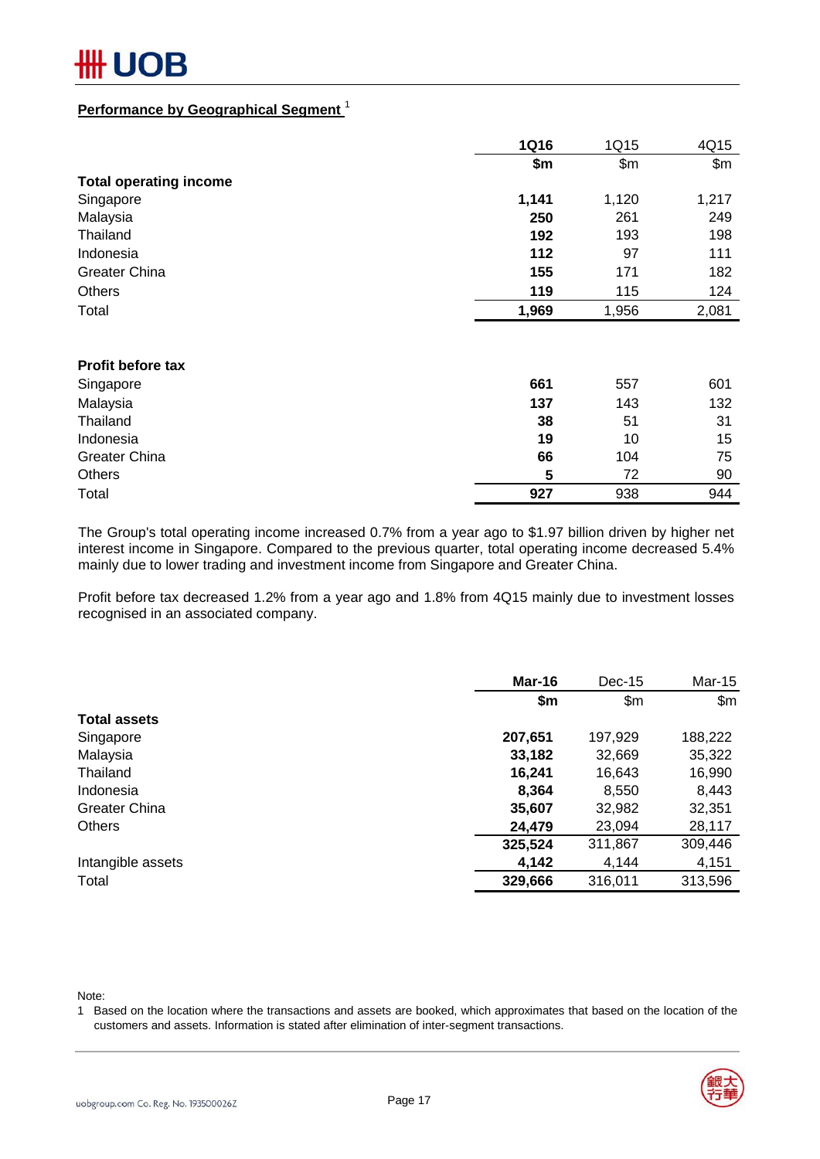#### **Performance by Geographical Segment** <sup>1</sup>

|                               | <b>1Q16</b> | 1Q15  | 4Q15  |
|-------------------------------|-------------|-------|-------|
|                               | \$m         | \$m\$ | \$m\$ |
| <b>Total operating income</b> |             |       |       |
| Singapore                     | 1,141       | 1,120 | 1,217 |
| Malaysia                      | 250         | 261   | 249   |
| Thailand                      | 192         | 193   | 198   |
| Indonesia                     | 112         | 97    | 111   |
| <b>Greater China</b>          | 155         | 171   | 182   |
| <b>Others</b>                 | 119         | 115   | 124   |
| Total                         | 1,969       | 1,956 | 2,081 |
|                               |             |       |       |
| <b>Profit before tax</b>      |             |       |       |
| Singapore                     | 661         | 557   | 601   |
| Malaysia                      | 137         | 143   | 132   |
| Thailand                      | 38          | 51    | 31    |
| Indonesia                     | 19          | 10    | 15    |
| <b>Greater China</b>          | 66          | 104   | 75    |
| <b>Others</b>                 | 5           | 72    | 90    |
| Total                         | 927         | 938   | 944   |

The Group's total operating income increased 0.7% from a year ago to \$1.97 billion driven by higher net interest income in Singapore. Compared to the previous quarter, total operating income decreased 5.4% mainly due to lower trading and investment income from Singapore and Greater China.

Profit before tax decreased 1.2% from a year ago and 1.8% from 4Q15 mainly due to investment losses recognised in an associated company.

|                      | Mar-16  | $Dec-15$ | Mar-15  |
|----------------------|---------|----------|---------|
|                      | \$m     | \$m      | \$m\$   |
| <b>Total assets</b>  |         |          |         |
| Singapore            | 207,651 | 197,929  | 188,222 |
| Malaysia             | 33,182  | 32,669   | 35,322  |
| Thailand             | 16,241  | 16,643   | 16,990  |
| Indonesia            | 8,364   | 8,550    | 8,443   |
| <b>Greater China</b> | 35,607  | 32,982   | 32,351  |
| <b>Others</b>        | 24,479  | 23,094   | 28,117  |
|                      | 325,524 | 311,867  | 309,446 |
| Intangible assets    | 4,142   | 4,144    | 4,151   |
| Total                | 329,666 | 316,011  | 313,596 |

Note:

1 Based on the location where the transactions and assets are booked, which approximates that based on the location of the customers and assets. Information is stated after elimination of inter-segment transactions.

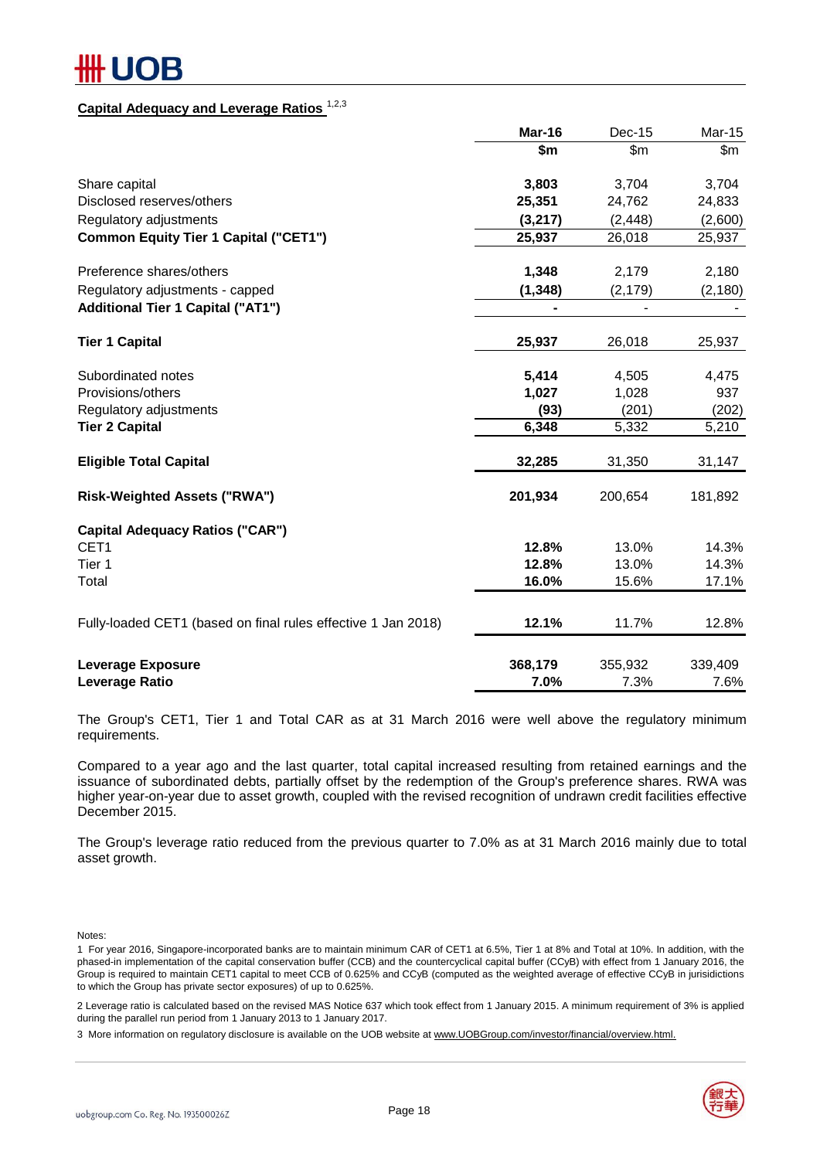# JOB

#### **Capital Adequacy and Leverage Ratios** 1,2,3

|                                                               | Mar-16   | <b>Dec-15</b> | <b>Mar-15</b> |
|---------------------------------------------------------------|----------|---------------|---------------|
|                                                               | \$m      | $\mathsf{Sm}$ | \$m\$         |
| Share capital                                                 | 3,803    | 3,704         | 3,704         |
| Disclosed reserves/others                                     | 25,351   | 24,762        | 24,833        |
| Regulatory adjustments                                        | (3,217)  | (2, 448)      | (2,600)       |
| <b>Common Equity Tier 1 Capital ("CET1")</b>                  | 25,937   | 26,018        | 25,937        |
| Preference shares/others                                      | 1,348    | 2,179         | 2,180         |
| Regulatory adjustments - capped                               | (1, 348) | (2, 179)      | (2, 180)      |
| <b>Additional Tier 1 Capital ("AT1")</b>                      |          |               |               |
| <b>Tier 1 Capital</b>                                         | 25,937   | 26,018        | 25,937        |
| Subordinated notes                                            | 5,414    | 4,505         | 4,475         |
| Provisions/others                                             | 1,027    | 1,028         | 937           |
| Regulatory adjustments                                        | (93)     | (201)         | (202)         |
| <b>Tier 2 Capital</b>                                         | 6,348    | 5,332         | 5,210         |
| <b>Eligible Total Capital</b>                                 | 32,285   | 31,350        | 31,147        |
| <b>Risk-Weighted Assets ("RWA")</b>                           | 201,934  | 200,654       | 181,892       |
| <b>Capital Adequacy Ratios ("CAR")</b>                        |          |               |               |
| CET <sub>1</sub>                                              | 12.8%    | 13.0%         | 14.3%         |
| Tier 1                                                        | 12.8%    | 13.0%         | 14.3%         |
| Total                                                         | 16.0%    | 15.6%         | 17.1%         |
| Fully-loaded CET1 (based on final rules effective 1 Jan 2018) | 12.1%    | 11.7%         | 12.8%         |
| <b>Leverage Exposure</b>                                      | 368,179  | 355,932       | 339,409       |
| <b>Leverage Ratio</b>                                         | 7.0%     | 7.3%          | 7.6%          |

The Group's CET1, Tier 1 and Total CAR as at 31 March 2016 were well above the regulatory minimum requirements.

Compared to a year ago and the last quarter, total capital increased resulting from retained earnings and the issuance of subordinated debts, partially offset by the redemption of the Group's preference shares. RWA was higher year-on-year due to asset growth, coupled with the revised recognition of undrawn credit facilities effective December 2015.

The Group's leverage ratio reduced from the previous quarter to 7.0% as at 31 March 2016 mainly due to total asset growth.

Notes:

2 Leverage ratio is calculated based on the revised MAS Notice 637 which took effect from 1 January 2015. A minimum requirement of 3% is applied during the parallel run period from 1 January 2013 to 1 January 2017.

3 More information on regulatory disclosure is available on the UOB website at www.UOBGroup.com/investor/financial/overview.html.



<sup>1</sup> For year 2016, Singapore-incorporated banks are to maintain minimum CAR of CET1 at 6.5%, Tier 1 at 8% and Total at 10%. In addition, with the phased-in implementation of the capital conservation buffer (CCB) and the countercyclical capital buffer (CCyB) with effect from 1 January 2016, the Group is required to maintain CET1 capital to meet CCB of 0.625% and CCyB (computed as the weighted average of effective CCyB in jurisidictions to which the Group has private sector exposures) of up to 0.625%.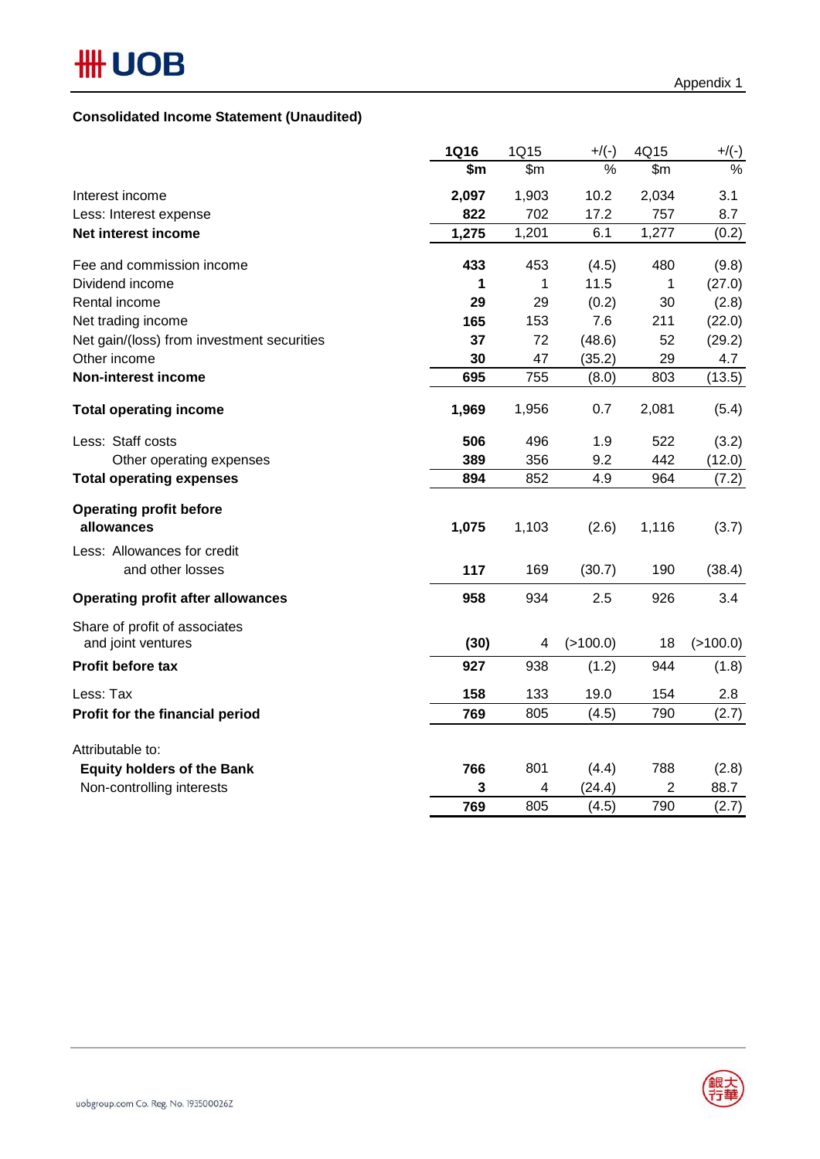#### **Consolidated Income Statement (Unaudited)**

|                                                     | <b>1Q16</b> | 1Q15  | $+$ /(-)      | 4Q15  | $+/(-)$              |
|-----------------------------------------------------|-------------|-------|---------------|-------|----------------------|
|                                                     | \$m         | \$m\$ | $\frac{0}{0}$ | \$m\$ | $\frac{1}{\sqrt{2}}$ |
| Interest income                                     | 2,097       | 1,903 | 10.2          | 2,034 | 3.1                  |
| Less: Interest expense                              | 822         | 702   | 17.2          | 757   | 8.7                  |
| Net interest income                                 | 1,275       | 1,201 | 6.1           | 1,277 | (0.2)                |
| Fee and commission income                           | 433         | 453   | (4.5)         | 480   | (9.8)                |
| Dividend income                                     | 1           | 1     | 11.5          | 1     | (27.0)               |
| Rental income                                       | 29          | 29    | (0.2)         | 30    | (2.8)                |
| Net trading income                                  | 165         | 153   | 7.6           | 211   | (22.0)               |
| Net gain/(loss) from investment securities          | 37          | 72    | (48.6)        | 52    | (29.2)               |
| Other income                                        | 30          | 47    | (35.2)        | 29    | 4.7                  |
| <b>Non-interest income</b>                          | 695         | 755   | (8.0)         | 803   | (13.5)               |
| <b>Total operating income</b>                       | 1,969       | 1,956 | 0.7           | 2,081 | (5.4)                |
| Less: Staff costs                                   | 506         | 496   | 1.9           | 522   | (3.2)                |
| Other operating expenses                            | 389         | 356   | 9.2           | 442   | (12.0)               |
| <b>Total operating expenses</b>                     | 894         | 852   | 4.9           | 964   | (7.2)                |
| <b>Operating profit before</b><br>allowances        | 1,075       | 1,103 | (2.6)         | 1,116 | (3.7)                |
| Less: Allowances for credit<br>and other losses     | 117         | 169   | (30.7)        | 190   | (38.4)               |
| <b>Operating profit after allowances</b>            | 958         | 934   | 2.5           | 926   | 3.4                  |
| Share of profit of associates<br>and joint ventures | (30)        | 4     | ( > 100.0)    | 18    | ( > 100.0)           |
| Profit before tax                                   | 927         | 938   | (1.2)         | 944   | (1.8)                |
| Less: Tax                                           | 158         | 133   | 19.0          | 154   | 2.8                  |
| Profit for the financial period                     | 769         | 805   | (4.5)         | 790   | (2.7)                |
| Attributable to:                                    |             |       |               |       |                      |
| <b>Equity holders of the Bank</b>                   | 766         | 801   | (4.4)         | 788   | (2.8)                |
| Non-controlling interests                           | 3           | 4     | (24.4)        | 2     | 88.7                 |
|                                                     | 769         | 805   | (4.5)         | 790   | (2.7)                |

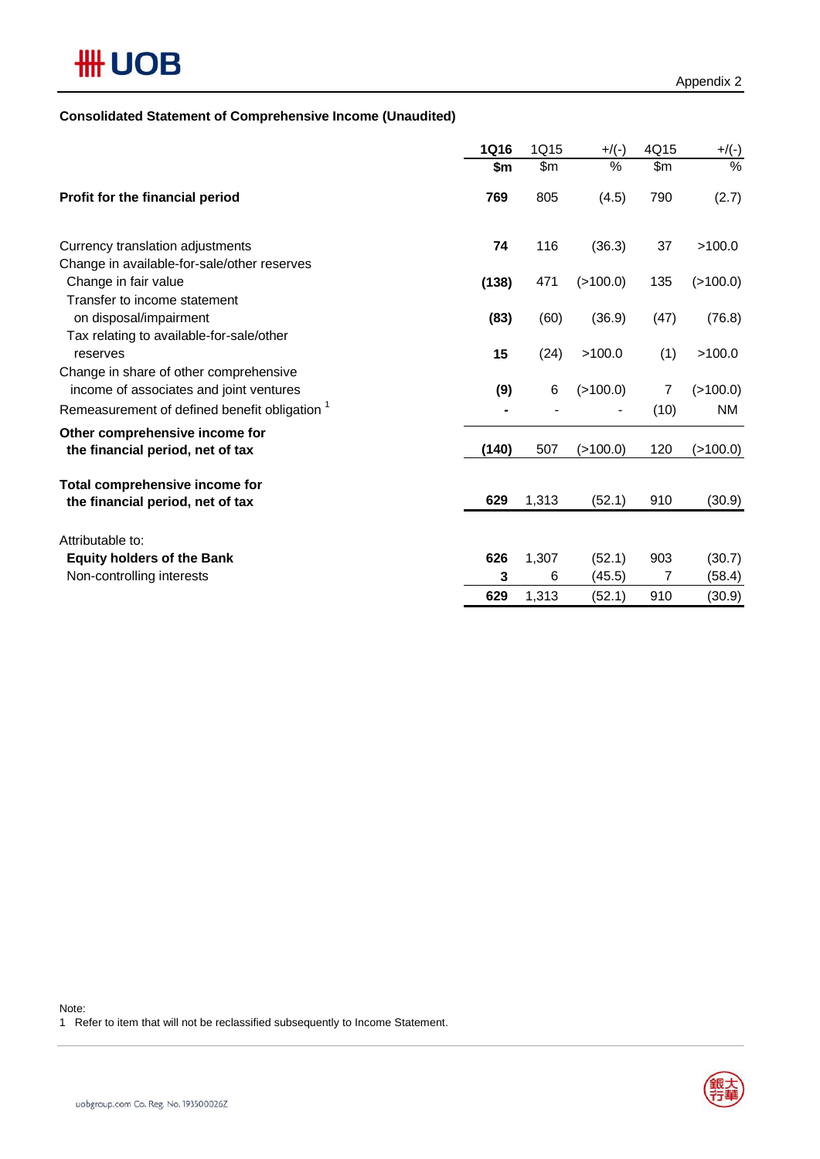# **HH UOB**

#### **Consolidated Statement of Comprehensive Income (Unaudited)**

|                                                                                                    | <b>1Q16</b> | 1Q15  | $+$ /(-)    | 4Q15  | $+/(-)$   |
|----------------------------------------------------------------------------------------------------|-------------|-------|-------------|-------|-----------|
|                                                                                                    | \$m         | \$m   | %           | \$m\$ | $\%$      |
| Profit for the financial period                                                                    | 769         | 805   | (4.5)       | 790   | (2.7)     |
| Currency translation adjustments                                                                   | 74          | 116   | (36.3)      | 37    | >100.0    |
| Change in available-for-sale/other reserves<br>Change in fair value                                | (138)       | 471   | (>100.0)    | 135   | (>100.0)  |
| Transfer to income statement<br>on disposal/impairment<br>Tax relating to available-for-sale/other | (83)        | (60)  | (36.9)      | (47)  | (76.8)    |
| reserves                                                                                           | 15          | (24)  | >100.0      | (1)   | >100.0    |
| Change in share of other comprehensive<br>income of associates and joint ventures                  | (9)         | 6     | (>100.0)    | 7     | (>100.0)  |
| Remeasurement of defined benefit obligation <sup>1</sup>                                           |             |       |             | (10)  | <b>NM</b> |
| Other comprehensive income for<br>the financial period, net of tax                                 | (140)       | 507   | $($ >100.0) | 120   | (>100.0)  |
| Total comprehensive income for<br>the financial period, net of tax                                 | 629         | 1,313 | (52.1)      | 910   | (30.9)    |
| Attributable to:                                                                                   |             |       |             |       |           |
| <b>Equity holders of the Bank</b>                                                                  | 626         | 1,307 | (52.1)      | 903   | (30.7)    |
| Non-controlling interests                                                                          | 3           | 6     | (45.5)      | 7     | (58.4)    |
|                                                                                                    | 629         | 1,313 | (52.1)      | 910   | (30.9)    |

Note:

1 Refer to item that will not be reclassified subsequently to Income Statement.

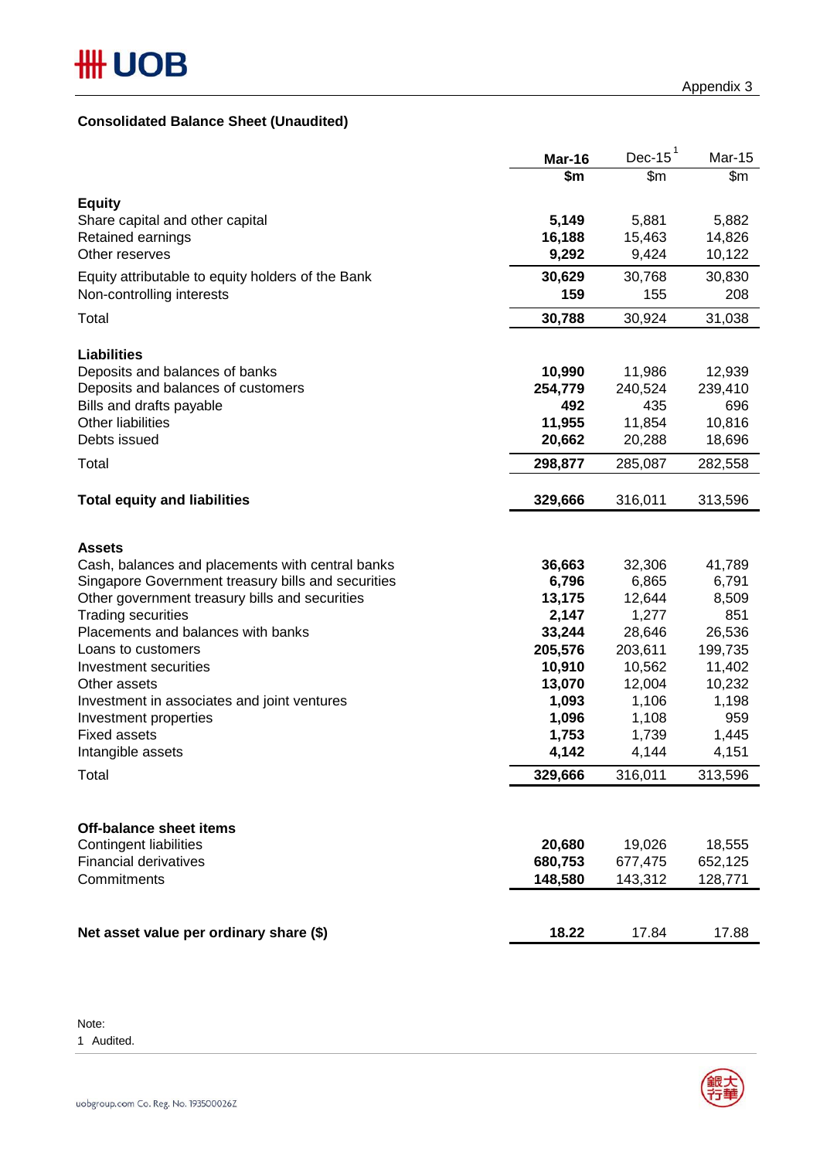#### **Consolidated Balance Sheet (Unaudited)**

|                                                                      | Mar-16            | Dec-15 $1$        | Mar-15            |
|----------------------------------------------------------------------|-------------------|-------------------|-------------------|
|                                                                      | \$m               | \$m\$             | \$m               |
| <b>Equity</b>                                                        |                   |                   |                   |
| Share capital and other capital                                      | 5,149             | 5,881             | 5,882             |
| Retained earnings                                                    | 16,188            | 15,463            | 14,826            |
| Other reserves                                                       | 9,292             | 9,424             | 10,122            |
| Equity attributable to equity holders of the Bank                    | 30,629            | 30,768            | 30,830            |
| Non-controlling interests                                            | 159               | 155               | 208               |
|                                                                      |                   |                   |                   |
| Total                                                                | 30,788            | 30,924            | 31,038            |
|                                                                      |                   |                   |                   |
| <b>Liabilities</b>                                                   |                   |                   |                   |
| Deposits and balances of banks<br>Deposits and balances of customers | 10,990<br>254,779 | 11,986<br>240,524 | 12,939<br>239,410 |
| Bills and drafts payable                                             | 492               | 435               | 696               |
| Other liabilities                                                    | 11,955            | 11,854            | 10,816            |
| Debts issued                                                         | 20,662            | 20,288            | 18,696            |
|                                                                      |                   |                   |                   |
| Total                                                                | 298,877           | 285,087           | 282,558           |
|                                                                      |                   |                   |                   |
| <b>Total equity and liabilities</b>                                  | 329,666           | 316,011           | 313,596           |
|                                                                      |                   |                   |                   |
| <b>Assets</b>                                                        |                   |                   |                   |
| Cash, balances and placements with central banks                     | 36,663            | 32,306            | 41,789            |
| Singapore Government treasury bills and securities                   | 6,796             | 6,865             | 6,791             |
| Other government treasury bills and securities                       | 13,175            | 12,644            | 8,509             |
| <b>Trading securities</b>                                            | 2,147             | 1,277             | 851               |
| Placements and balances with banks                                   | 33,244            | 28,646            | 26,536            |
| Loans to customers                                                   | 205,576           | 203,611           | 199,735           |
| Investment securities                                                | 10,910            | 10,562            | 11,402            |
| Other assets                                                         | 13,070            | 12,004            | 10,232            |
| Investment in associates and joint ventures                          | 1,093             | 1,106             | 1,198             |
| Investment properties                                                | 1,096             | 1,108             | 959               |
| <b>Fixed assets</b>                                                  | 1,753             | 1,739             | 1,445             |
| Intangible assets                                                    | 4,142             | 4,144             | 4,151             |
| Total                                                                | 329,666           | 316,011           | 313,596           |
|                                                                      |                   |                   |                   |
|                                                                      |                   |                   |                   |
| <b>Off-balance sheet items</b>                                       |                   |                   |                   |
| <b>Contingent liabilities</b>                                        | 20,680            | 19,026            | 18,555            |
| <b>Financial derivatives</b>                                         | 680,753           | 677,475           | 652,125           |
| Commitments                                                          | 148,580           | 143,312           | 128,771           |
|                                                                      |                   |                   |                   |
|                                                                      |                   |                   |                   |
| Net asset value per ordinary share (\$)                              | 18.22             | 17.84             | 17.88             |

Note:

1 Audited.

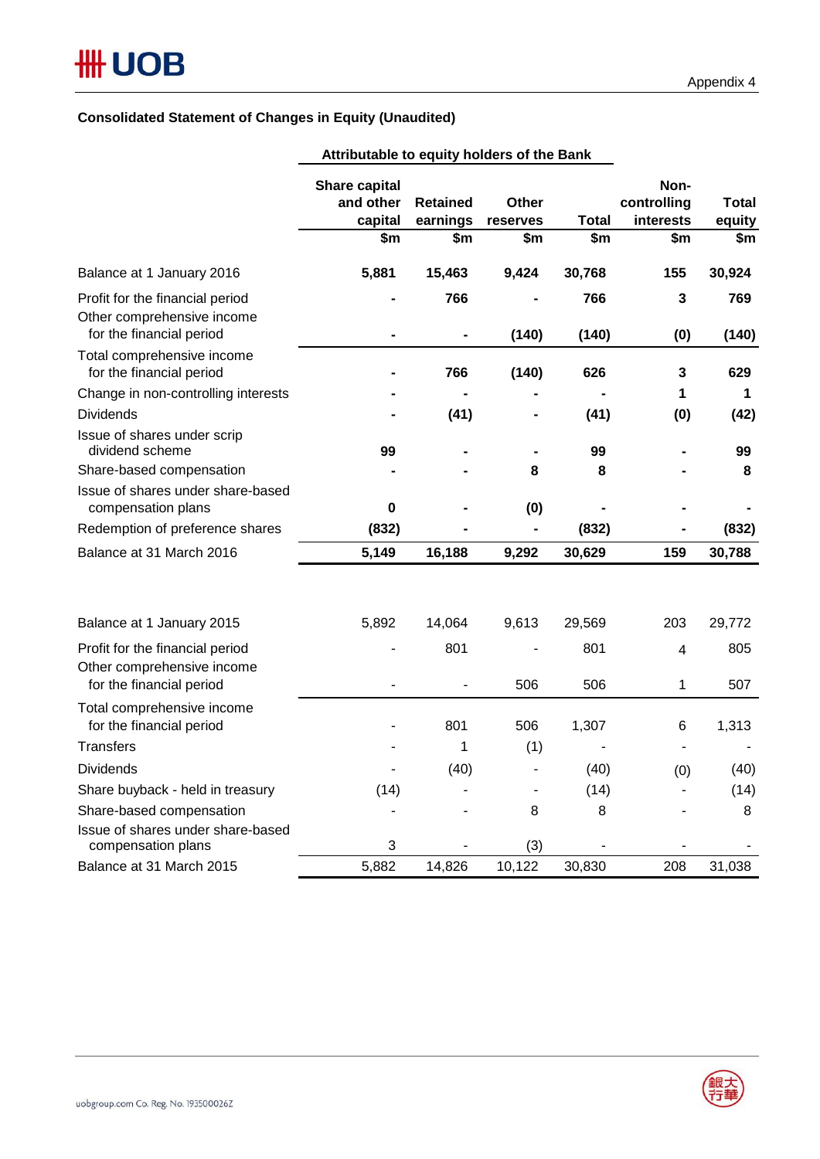#### **Consolidated Statement of Changes in Equity (Unaudited)**

| Attributable to equity holders of the Bank                                                 |                                                     |                                    |                          |                     |                                         |                               |
|--------------------------------------------------------------------------------------------|-----------------------------------------------------|------------------------------------|--------------------------|---------------------|-----------------------------------------|-------------------------------|
|                                                                                            | <b>Share capital</b><br>and other<br>capital<br>\$m | <b>Retained</b><br>earnings<br>\$m | Other<br>reserves<br>\$m | <b>Total</b><br>\$m | Non-<br>controlling<br>interests<br>\$m | <b>Total</b><br>equity<br>\$m |
| Balance at 1 January 2016                                                                  | 5,881                                               | 15,463                             | 9,424                    | 30,768              | 155                                     | 30,924                        |
| Profit for the financial period<br>Other comprehensive income<br>for the financial period  |                                                     | 766                                | (140)                    | 766<br>(140)        | 3<br>(0)                                | 769<br>(140)                  |
| Total comprehensive income<br>for the financial period                                     |                                                     | 766                                | (140)                    | 626                 | 3                                       | 629                           |
| Change in non-controlling interests<br><b>Dividends</b>                                    |                                                     | (41)                               |                          | (41)                | 1<br>(0)                                | 1<br>(42)                     |
| Issue of shares under scrip<br>dividend scheme<br>Share-based compensation                 | 99                                                  |                                    | 8                        | 99<br>8             |                                         | 99<br>8                       |
| Issue of shares under share-based<br>compensation plans<br>Redemption of preference shares | 0<br>(832)                                          |                                    | (0)<br>$\blacksquare$    | (832)               |                                         | (832)                         |
| Balance at 31 March 2016                                                                   | 5,149                                               | 16,188                             | 9,292                    | 30,629              | 159                                     | 30,788                        |
| Balance at 1 January 2015                                                                  | 5,892                                               | 14,064                             | 9,613                    | 29,569              | 203                                     | 29,772                        |
| Profit for the financial period<br>Other comprehensive income<br>for the financial period  |                                                     | 801                                | 506                      | 801<br>506          | 4<br>1                                  | 805<br>507                    |
| Total comprehensive income<br>for the financial period                                     |                                                     | 801                                | 506                      | 1,307               | 6                                       | 1,313                         |
| <b>Transfers</b>                                                                           |                                                     | 1                                  | (1)                      |                     |                                         |                               |
| <b>Dividends</b>                                                                           |                                                     | (40)                               |                          | (40)                | (0)                                     | (40)                          |
| Share buyback - held in treasury                                                           | (14)                                                |                                    |                          | (14)                |                                         | (14)                          |
| Share-based compensation                                                                   |                                                     |                                    | 8                        | 8                   |                                         | 8                             |
| Issue of shares under share-based<br>compensation plans                                    | 3                                                   |                                    | (3)                      |                     |                                         |                               |
| Balance at 31 March 2015                                                                   | 5,882                                               | 14,826                             | 10,122                   | 30,830              | 208                                     | 31,038                        |

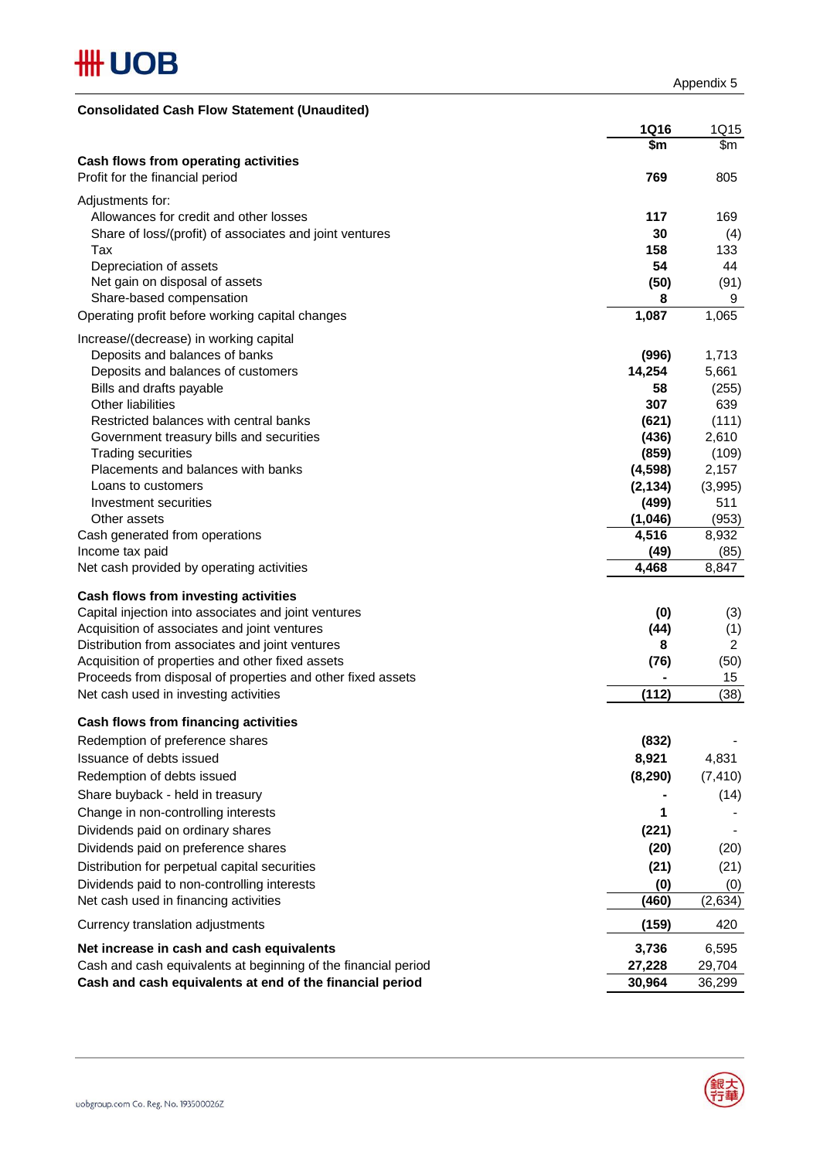| <b>Consolidated Cash Flow Statement (Unaudited)</b>                                                 |               |                        |
|-----------------------------------------------------------------------------------------------------|---------------|------------------------|
|                                                                                                     | <b>1Q16</b>   | 1Q15                   |
|                                                                                                     | \$m           | \$m                    |
| Cash flows from operating activities                                                                |               |                        |
| Profit for the financial period                                                                     | 769           | 805                    |
| Adjustments for:                                                                                    |               |                        |
| Allowances for credit and other losses                                                              | 117           | 169                    |
| Share of loss/(profit) of associates and joint ventures                                             | 30            | (4)                    |
| Tax<br>Depreciation of assets                                                                       | 158<br>54     | 133<br>44              |
| Net gain on disposal of assets                                                                      | (50)          | (91)                   |
| Share-based compensation                                                                            | 8             | 9                      |
| Operating profit before working capital changes                                                     | 1,087         | 1,065                  |
|                                                                                                     |               |                        |
| Increase/(decrease) in working capital<br>Deposits and balances of banks                            | (996)         | 1,713                  |
| Deposits and balances of customers                                                                  | 14,254        | 5,661                  |
| Bills and drafts payable                                                                            | 58            | (255)                  |
| Other liabilities                                                                                   | 307           | 639                    |
| Restricted balances with central banks                                                              | (621)         | (111)                  |
| Government treasury bills and securities                                                            | (436)         | 2,610                  |
| <b>Trading securities</b>                                                                           | (859)         | (109)                  |
| Placements and balances with banks                                                                  | (4,598)       | 2,157                  |
| Loans to customers                                                                                  | (2, 134)      | (3,995)                |
| Investment securities                                                                               | (499)         | 511                    |
| Other assets                                                                                        | (1,046)       | (953)                  |
| Cash generated from operations<br>Income tax paid                                                   | 4,516<br>(49) | 8,932<br>(85)          |
| Net cash provided by operating activities                                                           | 4,468         | 8,847                  |
|                                                                                                     |               |                        |
| Cash flows from investing activities                                                                |               |                        |
| Capital injection into associates and joint ventures                                                | (0)           | (3)                    |
| Acquisition of associates and joint ventures                                                        | (44)          | (1)                    |
| Distribution from associates and joint ventures<br>Acquisition of properties and other fixed assets | 8<br>(76)     | $\overline{c}$<br>(50) |
| Proceeds from disposal of properties and other fixed assets                                         |               | 15                     |
| Net cash used in investing activities                                                               | (112)         | (38)                   |
|                                                                                                     |               |                        |
| Cash flows from financing activities                                                                |               |                        |
| Redemption of preference shares                                                                     | (832)         |                        |
| Issuance of debts issued                                                                            | 8,921         | 4,831                  |
| Redemption of debts issued                                                                          | (8, 290)      | (7, 410)               |
| Share buyback - held in treasury                                                                    |               | (14)                   |
| Change in non-controlling interests                                                                 | 1             |                        |
| Dividends paid on ordinary shares                                                                   | (221)         |                        |
| Dividends paid on preference shares                                                                 | (20)          | (20)                   |
| Distribution for perpetual capital securities                                                       | (21)          | (21)                   |
| Dividends paid to non-controlling interests                                                         | (0)           | (0)                    |
| Net cash used in financing activities                                                               | (460)         | (2,634)                |
| Currency translation adjustments                                                                    | (159)         | 420                    |
| Net increase in cash and cash equivalents                                                           | 3,736         | 6,595                  |
| Cash and cash equivalents at beginning of the financial period                                      | 27,228        | 29,704                 |
| Cash and cash equivalents at end of the financial period                                            | 30,964        | 36,299                 |

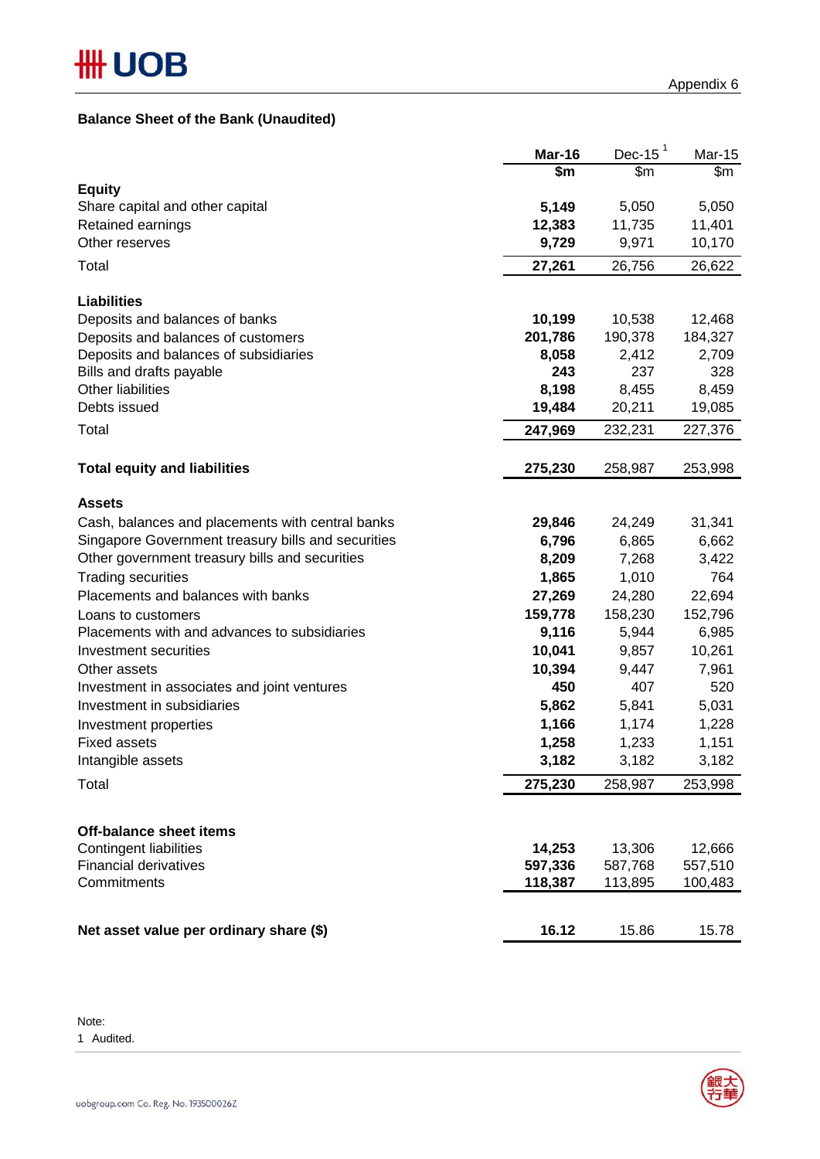#### **Balance Sheet of the Bank (Unaudited)**

|                                                    | Mar-16  | Dec-15  | <b>Mar-15</b> |
|----------------------------------------------------|---------|---------|---------------|
|                                                    | \$m     | \$m\$   | \$m\$         |
| <b>Equity</b>                                      |         |         |               |
| Share capital and other capital                    | 5,149   | 5,050   | 5,050         |
| Retained earnings                                  | 12,383  | 11,735  | 11,401        |
| Other reserves                                     | 9,729   | 9,971   | 10,170        |
| Total                                              | 27,261  | 26,756  | 26,622        |
| <b>Liabilities</b>                                 |         |         |               |
| Deposits and balances of banks                     | 10,199  | 10,538  | 12,468        |
| Deposits and balances of customers                 | 201,786 | 190,378 | 184,327       |
| Deposits and balances of subsidiaries              | 8,058   | 2,412   | 2,709         |
| Bills and drafts payable                           | 243     | 237     | 328           |
| Other liabilities                                  | 8,198   | 8,455   | 8,459         |
| Debts issued                                       | 19,484  | 20,211  | 19,085        |
| Total                                              | 247,969 | 232,231 | 227,376       |
| <b>Total equity and liabilities</b>                | 275,230 | 258,987 | 253,998       |
|                                                    |         |         |               |
| <b>Assets</b>                                      |         |         |               |
| Cash, balances and placements with central banks   | 29,846  | 24,249  | 31,341        |
| Singapore Government treasury bills and securities | 6,796   | 6,865   | 6,662         |
| Other government treasury bills and securities     | 8,209   | 7,268   | 3,422         |
| <b>Trading securities</b>                          | 1,865   | 1,010   | 764           |
| Placements and balances with banks                 | 27,269  | 24,280  | 22,694        |
| Loans to customers                                 | 159,778 | 158,230 | 152,796       |
| Placements with and advances to subsidiaries       | 9,116   | 5,944   | 6,985         |
| Investment securities                              | 10,041  | 9,857   | 10,261        |
| Other assets                                       | 10,394  | 9,447   | 7,961         |
| Investment in associates and joint ventures        | 450     | 407     | 520           |
| Investment in subsidiaries                         | 5,862   | 5,841   | 5,031         |
| Investment properties                              | 1,166   | 1,174   | 1,228         |
| <b>Fixed assets</b>                                | 1,258   | 1,233   | 1,151         |
| Intangible assets                                  | 3,182   | 3,182   | 3,182         |
| Total                                              | 275,230 | 258,987 | 253,998       |
|                                                    |         |         |               |
| <b>Off-balance sheet items</b>                     |         |         |               |
| Contingent liabilities                             | 14,253  | 13,306  | 12,666        |
| <b>Financial derivatives</b>                       | 597,336 | 587,768 | 557,510       |
| Commitments                                        | 118,387 | 113,895 | 100,483       |
| Net asset value per ordinary share (\$)            | 16.12   | 15.86   | 15.78         |

Note:

1 Audited.

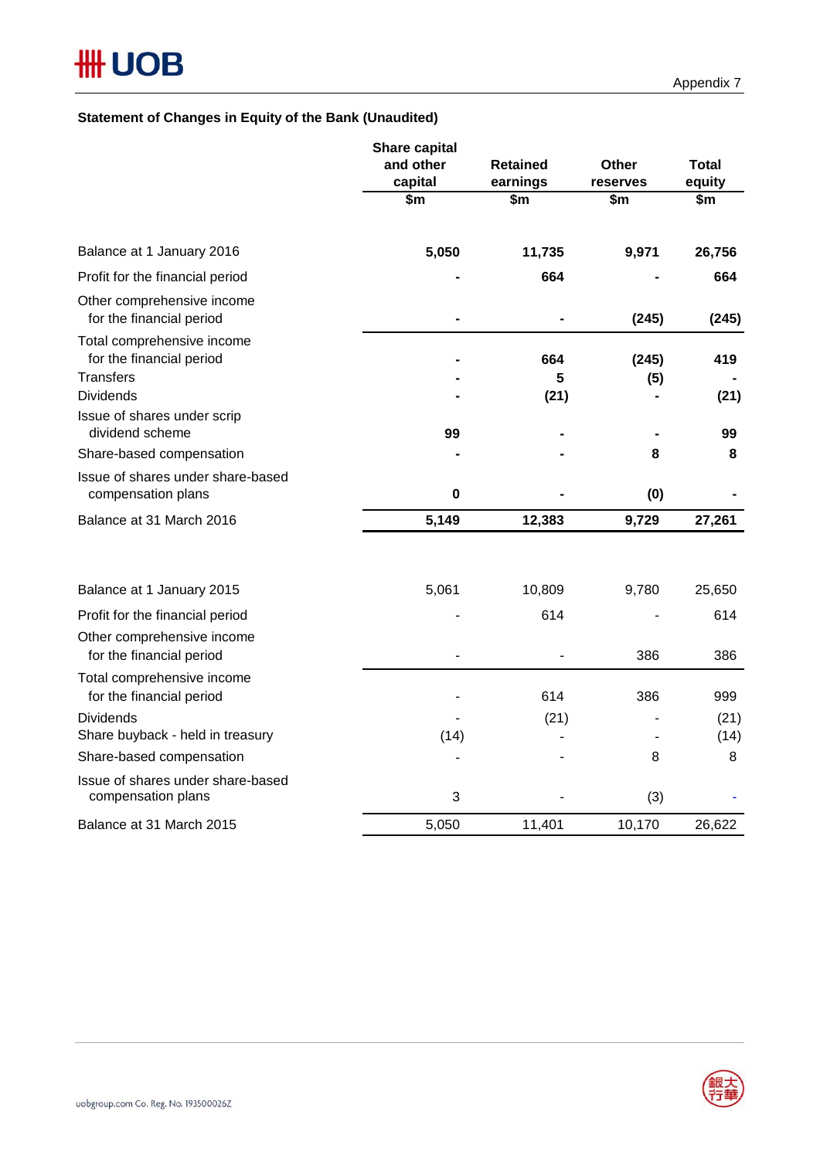#### **Statement of Changes in Equity of the Bank (Unaudited)**

|                                                                            | Share capital<br>and other<br>capital | <b>Retained</b><br>earnings | Other<br>reserves | <b>Total</b><br>equity |
|----------------------------------------------------------------------------|---------------------------------------|-----------------------------|-------------------|------------------------|
|                                                                            | \$m                                   | \$m                         | \$m               | \$m                    |
| Balance at 1 January 2016                                                  | 5,050                                 | 11,735                      | 9,971             | 26,756                 |
| Profit for the financial period                                            |                                       | 664                         |                   | 664                    |
| Other comprehensive income<br>for the financial period                     |                                       |                             | (245)             | (245)                  |
| Total comprehensive income<br>for the financial period<br><b>Transfers</b> |                                       | 664<br>5                    | (245)<br>(5)      | 419                    |
| <b>Dividends</b>                                                           |                                       | (21)                        |                   | (21)                   |
| Issue of shares under scrip<br>dividend scheme                             | 99                                    |                             |                   | 99                     |
| Share-based compensation                                                   |                                       |                             | 8                 | 8                      |
| Issue of shares under share-based<br>compensation plans                    | $\mathbf 0$                           |                             | (0)               |                        |
| Balance at 31 March 2016                                                   | 5,149                                 | 12,383                      | 9,729             | 27,261                 |
| Balance at 1 January 2015                                                  | 5,061                                 | 10,809                      | 9,780             | 25,650                 |
| Profit for the financial period                                            |                                       | 614                         |                   | 614                    |
| Other comprehensive income<br>for the financial period                     |                                       |                             | 386               | 386                    |
| Total comprehensive income<br>for the financial period                     |                                       | 614                         | 386               | 999                    |
| <b>Dividends</b>                                                           |                                       | (21)                        |                   | (21)                   |
| Share buyback - held in treasury                                           | (14)                                  |                             |                   | (14)                   |
| Share-based compensation                                                   |                                       |                             | 8                 | 8                      |
| Issue of shares under share-based<br>compensation plans                    | 3                                     |                             | (3)               |                        |
| Balance at 31 March 2015                                                   | 5,050                                 | 11,401                      | 10,170            | 26,622                 |